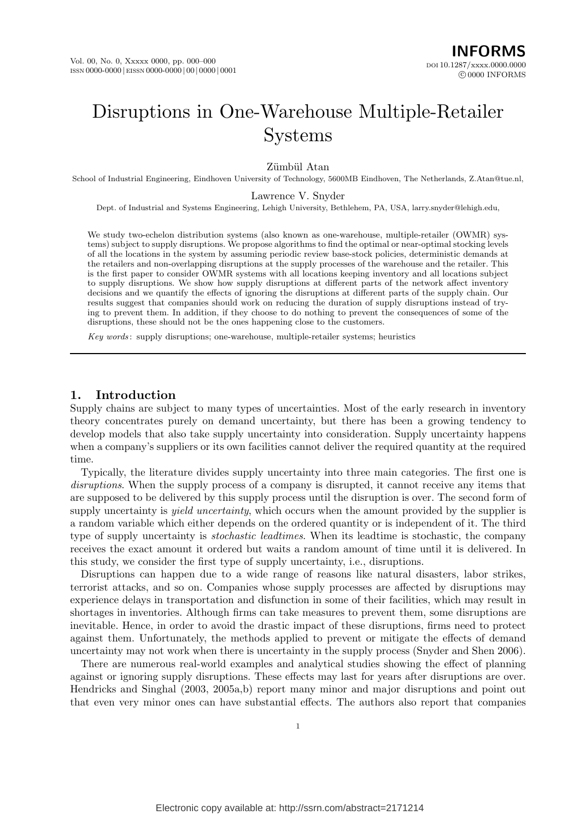# Disruptions in One-Warehouse Multiple-Retailer Systems

Zümbül Atan

School of Industrial Engineering, Eindhoven University of Technology, 5600MB Eindhoven, The Netherlands, Z.Atan@tue.nl,

Lawrence V. Snyder

Dept. of Industrial and Systems Engineering, Lehigh University, Bethlehem, PA, USA, larry.snyder@lehigh.edu,

We study two-echelon distribution systems (also known as one-warehouse, multiple-retailer (OWMR) systems) subject to supply disruptions. We propose algorithms to find the optimal or near-optimal stocking levels of all the locations in the system by assuming periodic review base-stock policies, deterministic demands at the retailers and non-overlapping disruptions at the supply processes of the warehouse and the retailer. This is the first paper to consider OWMR systems with all locations keeping inventory and all locations subject to supply disruptions. We show how supply disruptions at different parts of the network affect inventory decisions and we quantify the effects of ignoring the disruptions at different parts of the supply chain. Our results suggest that companies should work on reducing the duration of supply disruptions instead of trying to prevent them. In addition, if they choose to do nothing to prevent the consequences of some of the disruptions, these should not be the ones happening close to the customers.

Key words : supply disruptions; one-warehouse, multiple-retailer systems; heuristics

# 1. Introduction

Supply chains are subject to many types of uncertainties. Most of the early research in inventory theory concentrates purely on demand uncertainty, but there has been a growing tendency to develop models that also take supply uncertainty into consideration. Supply uncertainty happens when a company's suppliers or its own facilities cannot deliver the required quantity at the required time.

Typically, the literature divides supply uncertainty into three main categories. The first one is disruptions. When the supply process of a company is disrupted, it cannot receive any items that are supposed to be delivered by this supply process until the disruption is over. The second form of supply uncertainty is *yield uncertainty*, which occurs when the amount provided by the supplier is a random variable which either depends on the ordered quantity or is independent of it. The third type of supply uncertainty is stochastic leadtimes. When its leadtime is stochastic, the company receives the exact amount it ordered but waits a random amount of time until it is delivered. In this study, we consider the first type of supply uncertainty, i.e., disruptions.

Disruptions can happen due to a wide range of reasons like natural disasters, labor strikes, terrorist attacks, and so on. Companies whose supply processes are affected by disruptions may experience delays in transportation and disfunction in some of their facilities, which may result in shortages in inventories. Although firms can take measures to prevent them, some disruptions are inevitable. Hence, in order to avoid the drastic impact of these disruptions, firms need to protect against them. Unfortunately, the methods applied to prevent or mitigate the effects of demand uncertainty may not work when there is uncertainty in the supply process (Snyder and Shen 2006).

There are numerous real-world examples and analytical studies showing the effect of planning against or ignoring supply disruptions. These effects may last for years after disruptions are over. Hendricks and Singhal (2003, 2005a,b) report many minor and major disruptions and point out that even very minor ones can have substantial effects. The authors also report that companies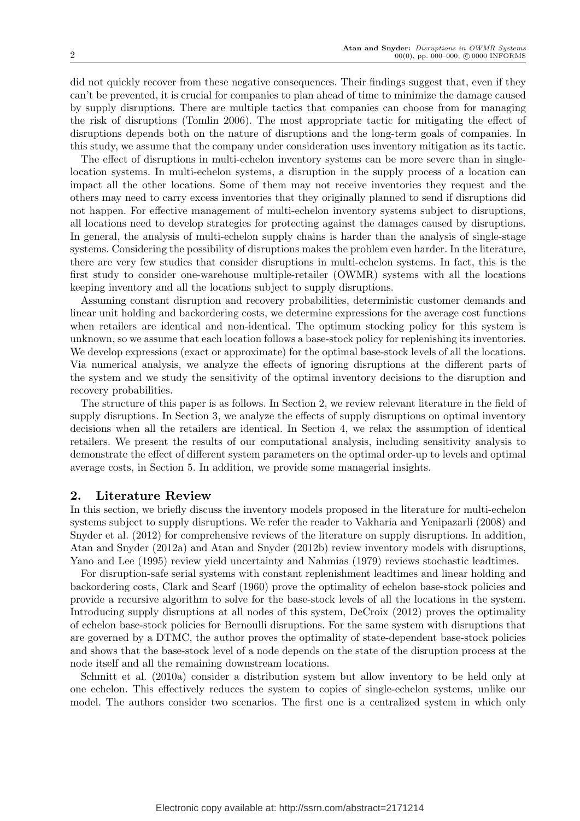did not quickly recover from these negative consequences. Their findings suggest that, even if they can't be prevented, it is crucial for companies to plan ahead of time to minimize the damage caused by supply disruptions. There are multiple tactics that companies can choose from for managing the risk of disruptions (Tomlin 2006). The most appropriate tactic for mitigating the effect of disruptions depends both on the nature of disruptions and the long-term goals of companies. In this study, we assume that the company under consideration uses inventory mitigation as its tactic.

The effect of disruptions in multi-echelon inventory systems can be more severe than in singlelocation systems. In multi-echelon systems, a disruption in the supply process of a location can impact all the other locations. Some of them may not receive inventories they request and the others may need to carry excess inventories that they originally planned to send if disruptions did not happen. For effective management of multi-echelon inventory systems subject to disruptions, all locations need to develop strategies for protecting against the damages caused by disruptions. In general, the analysis of multi-echelon supply chains is harder than the analysis of single-stage systems. Considering the possibility of disruptions makes the problem even harder. In the literature, there are very few studies that consider disruptions in multi-echelon systems. In fact, this is the first study to consider one-warehouse multiple-retailer (OWMR) systems with all the locations keeping inventory and all the locations subject to supply disruptions.

Assuming constant disruption and recovery probabilities, deterministic customer demands and linear unit holding and backordering costs, we determine expressions for the average cost functions when retailers are identical and non-identical. The optimum stocking policy for this system is unknown, so we assume that each location follows a base-stock policy for replenishing its inventories. We develop expressions (exact or approximate) for the optimal base-stock levels of all the locations. Via numerical analysis, we analyze the effects of ignoring disruptions at the different parts of the system and we study the sensitivity of the optimal inventory decisions to the disruption and recovery probabilities.

The structure of this paper is as follows. In Section 2, we review relevant literature in the field of supply disruptions. In Section 3, we analyze the effects of supply disruptions on optimal inventory decisions when all the retailers are identical. In Section 4, we relax the assumption of identical retailers. We present the results of our computational analysis, including sensitivity analysis to demonstrate the effect of different system parameters on the optimal order-up to levels and optimal average costs, in Section 5. In addition, we provide some managerial insights.

# 2. Literature Review

In this section, we briefly discuss the inventory models proposed in the literature for multi-echelon systems subject to supply disruptions. We refer the reader to Vakharia and Yenipazarli (2008) and Snyder et al. (2012) for comprehensive reviews of the literature on supply disruptions. In addition, Atan and Snyder (2012a) and Atan and Snyder (2012b) review inventory models with disruptions, Yano and Lee (1995) review yield uncertainty and Nahmias (1979) reviews stochastic leadtimes.

For disruption-safe serial systems with constant replenishment leadtimes and linear holding and backordering costs, Clark and Scarf (1960) prove the optimality of echelon base-stock policies and provide a recursive algorithm to solve for the base-stock levels of all the locations in the system. Introducing supply disruptions at all nodes of this system, DeCroix (2012) proves the optimality of echelon base-stock policies for Bernoulli disruptions. For the same system with disruptions that are governed by a DTMC, the author proves the optimality of state-dependent base-stock policies and shows that the base-stock level of a node depends on the state of the disruption process at the node itself and all the remaining downstream locations.

Schmitt et al. (2010a) consider a distribution system but allow inventory to be held only at one echelon. This effectively reduces the system to copies of single-echelon systems, unlike our model. The authors consider two scenarios. The first one is a centralized system in which only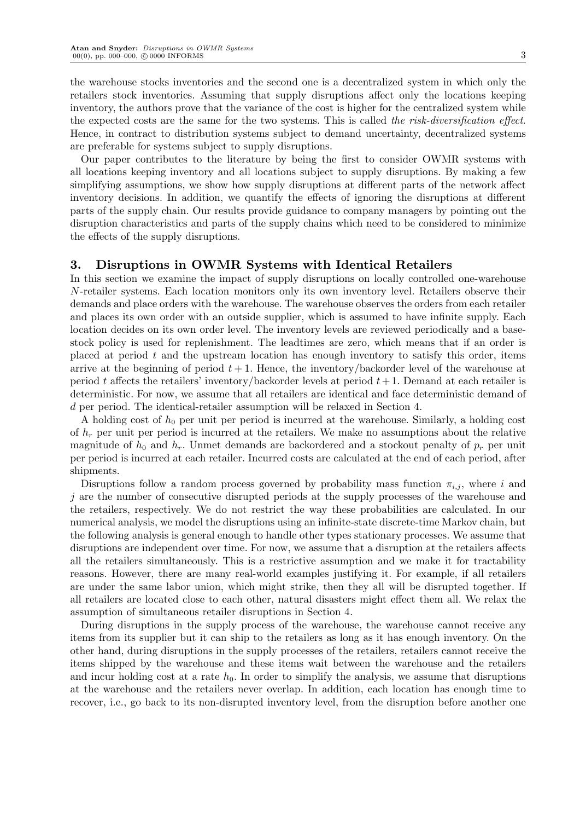the warehouse stocks inventories and the second one is a decentralized system in which only the retailers stock inventories. Assuming that supply disruptions affect only the locations keeping inventory, the authors prove that the variance of the cost is higher for the centralized system while the expected costs are the same for the two systems. This is called the risk-diversification effect. Hence, in contract to distribution systems subject to demand uncertainty, decentralized systems are preferable for systems subject to supply disruptions.

Our paper contributes to the literature by being the first to consider OWMR systems with all locations keeping inventory and all locations subject to supply disruptions. By making a few simplifying assumptions, we show how supply disruptions at different parts of the network affect inventory decisions. In addition, we quantify the effects of ignoring the disruptions at different parts of the supply chain. Our results provide guidance to company managers by pointing out the disruption characteristics and parts of the supply chains which need to be considered to minimize the effects of the supply disruptions.

# 3. Disruptions in OWMR Systems with Identical Retailers

In this section we examine the impact of supply disruptions on locally controlled one-warehouse N-retailer systems. Each location monitors only its own inventory level. Retailers observe their demands and place orders with the warehouse. The warehouse observes the orders from each retailer and places its own order with an outside supplier, which is assumed to have infinite supply. Each location decides on its own order level. The inventory levels are reviewed periodically and a basestock policy is used for replenishment. The leadtimes are zero, which means that if an order is placed at period  $t$  and the upstream location has enough inventory to satisfy this order, items arrive at the beginning of period  $t + 1$ . Hence, the inventory/backorder level of the warehouse at period t affects the retailers' inventory/backorder levels at period  $t+1$ . Demand at each retailer is deterministic. For now, we assume that all retailers are identical and face deterministic demand of d per period. The identical-retailer assumption will be relaxed in Section 4.

A holding cost of  $h_0$  per unit per period is incurred at the warehouse. Similarly, a holding cost of  $h_r$  per unit per period is incurred at the retailers. We make no assumptions about the relative magnitude of  $h_0$  and  $h_r$ . Unmet demands are backordered and a stockout penalty of  $p_r$  per unit per period is incurred at each retailer. Incurred costs are calculated at the end of each period, after shipments.

Disruptions follow a random process governed by probability mass function  $\pi_{i,j}$ , where i and j are the number of consecutive disrupted periods at the supply processes of the warehouse and the retailers, respectively. We do not restrict the way these probabilities are calculated. In our numerical analysis, we model the disruptions using an infinite-state discrete-time Markov chain, but the following analysis is general enough to handle other types stationary processes. We assume that disruptions are independent over time. For now, we assume that a disruption at the retailers affects all the retailers simultaneously. This is a restrictive assumption and we make it for tractability reasons. However, there are many real-world examples justifying it. For example, if all retailers are under the same labor union, which might strike, then they all will be disrupted together. If all retailers are located close to each other, natural disasters might effect them all. We relax the assumption of simultaneous retailer disruptions in Section 4.

During disruptions in the supply process of the warehouse, the warehouse cannot receive any items from its supplier but it can ship to the retailers as long as it has enough inventory. On the other hand, during disruptions in the supply processes of the retailers, retailers cannot receive the items shipped by the warehouse and these items wait between the warehouse and the retailers and incur holding cost at a rate  $h_0$ . In order to simplify the analysis, we assume that disruptions at the warehouse and the retailers never overlap. In addition, each location has enough time to recover, i.e., go back to its non-disrupted inventory level, from the disruption before another one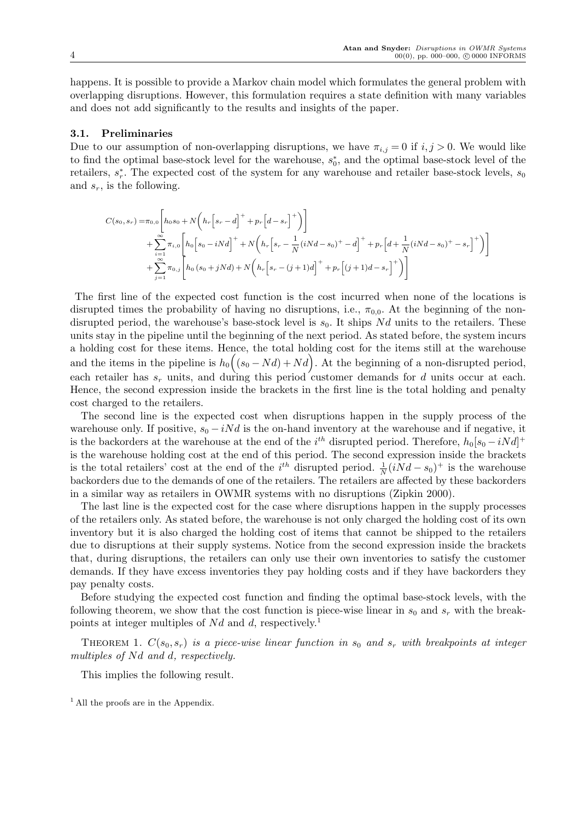happens. It is possible to provide a Markov chain model which formulates the general problem with overlapping disruptions. However, this formulation requires a state definition with many variables and does not add significantly to the results and insights of the paper.

## 3.1. Preliminaries

Due to our assumption of non-overlapping disruptions, we have  $\pi_{i,j} = 0$  if  $i, j > 0$ . We would like to find the optimal base-stock level for the warehouse,  $s_0^*$ , and the optimal base-stock level of the retailers,  $s_r^*$ . The expected cost of the system for any warehouse and retailer base-stock levels,  $s_0$ and  $s_r$ , is the following.

$$
C(s_0, s_r) = \pi_{0,0} \left[ h_0 s_0 + N \left( h_r \left[ s_r - d \right]^+ + p_r \left[ d - s_r \right]^+ \right) \right]
$$
  
+ 
$$
\sum_{i=1}^{\infty} \pi_{i,0} \left[ h_0 \left[ s_0 - iNd \right]^+ + N \left( h_r \left[ s_r - \frac{1}{N} (iNd - s_0)^+ - d \right]^+ + p_r \left[ d + \frac{1}{N} (iNd - s_0)^+ - s_r \right]^+ \right) \right]
$$
  
+ 
$$
\sum_{j=1}^{\infty} \pi_{0,j} \left[ h_0 \left( s_0 + jNd \right) + N \left( h_r \left[ s_r - (j+1)d \right]^+ + p_r \left[ (j+1)d - s_r \right]^+ \right) \right]
$$

The first line of the expected cost function is the cost incurred when none of the locations is disrupted times the probability of having no disruptions, i.e.,  $\pi_{0,0}$ . At the beginning of the nondisrupted period, the warehouse's base-stock level is  $s_0$ . It ships Nd units to the retailers. These units stay in the pipeline until the beginning of the next period. As stated before, the system incurs a holding cost for these items. Hence, the total holding cost for the items still at the warehouse and the items in the pipeline is  $h_0((s_0 - Nd) + Nd)$ . At the beginning of a non-disrupted period, each retailer has  $s_r$  units, and during this period customer demands for d units occur at each. Hence, the second expression inside the brackets in the first line is the total holding and penalty cost charged to the retailers.

The second line is the expected cost when disruptions happen in the supply process of the warehouse only. If positive,  $s_0 - iNd$  is the on-hand inventory at the warehouse and if negative, it is the backorders at the warehouse at the end of the  $i^{th}$  disrupted period. Therefore,  $h_0[s_0 - iNd]^+$ is the warehouse holding cost at the end of this period. The second expression inside the brackets is the total retailers' cost at the end of the i<sup>th</sup> disrupted period.  $\frac{1}{N}(iNd - s_0)^+$  is the warehouse backorders due to the demands of one of the retailers. The retailers are affected by these backorders in a similar way as retailers in OWMR systems with no disruptions (Zipkin 2000).

The last line is the expected cost for the case where disruptions happen in the supply processes of the retailers only. As stated before, the warehouse is not only charged the holding cost of its own inventory but it is also charged the holding cost of items that cannot be shipped to the retailers due to disruptions at their supply systems. Notice from the second expression inside the brackets that, during disruptions, the retailers can only use their own inventories to satisfy the customer demands. If they have excess inventories they pay holding costs and if they have backorders they pay penalty costs.

Before studying the expected cost function and finding the optimal base-stock levels, with the following theorem, we show that the cost function is piece-wise linear in  $s_0$  and  $s_r$  with the breakpoints at integer multiples of  $Nd$  and d, respectively.<sup>1</sup>

THEOREM 1.  $C(s_0, s_r)$  is a piece-wise linear function in  $s_0$  and  $s_r$  with breakpoints at integer multiples of  $N d$  and  $d$ , respectively.

This implies the following result.

<sup>1</sup> All the proofs are in the Appendix.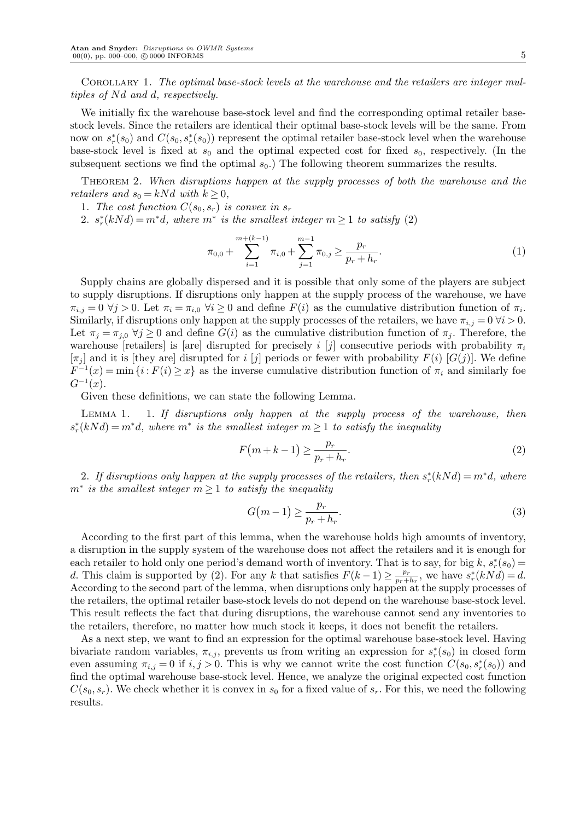COROLLARY 1. The optimal base-stock levels at the warehouse and the retailers are integer multiples of  $Nd$  and d, respectively.

We initially fix the warehouse base-stock level and find the corresponding optimal retailer basestock levels. Since the retailers are identical their optimal base-stock levels will be the same. From now on  $s_r^*(s_0)$  and  $C(s_0, s_r^*(s_0))$  represent the optimal retailer base-stock level when the warehouse base-stock level is fixed at  $s_0$  and the optimal expected cost for fixed  $s_0$ , respectively. (In the subsequent sections we find the optimal  $s_0$ .) The following theorem summarizes the results.

Theorem 2. When disruptions happen at the supply processes of both the warehouse and the retailers and  $s_0 = kNd$  with  $k \geq 0$ ,

1. The cost function  $C(s_0, s_r)$  is convex in  $s_r$ 

2.  $s_r^*(kNd) = m^*d$ , where  $m^*$  is the smallest integer  $m \ge 1$  to satisfy (2)

$$
\pi_{0,0} + \sum_{i=1}^{m+(k-1)} \pi_{i,0} + \sum_{j=1}^{m-1} \pi_{0,j} \ge \frac{p_r}{p_r + h_r}.\tag{1}
$$

Supply chains are globally dispersed and it is possible that only some of the players are subject to supply disruptions. If disruptions only happen at the supply process of the warehouse, we have  $\pi_{i,j} = 0 \ \forall j > 0.$  Let  $\pi_i = \pi_{i,0} \ \forall i \geq 0$  and define  $F(i)$  as the cumulative distribution function of  $\pi_i$ . Similarly, if disruptions only happen at the supply processes of the retailers, we have  $\pi_{i,j} = 0 \forall i > 0$ . Let  $\pi_j = \pi_{j,0}$   $\forall j \geq 0$  and define  $G(i)$  as the cumulative distribution function of  $\pi_j$ . Therefore, the warehouse [retailers] is [are] disrupted for precisely i [j] consecutive periods with probability  $\pi_i$  $[\pi_i]$  and it is [they are] disrupted for i [j] periods or fewer with probability  $F(i)$  [ $G(j)$ ]. We define  $F^{-1}(x) = \min\{i : F(i) \geq x\}$  as the inverse cumulative distribution function of  $\pi_i$  and similarly foe  $G^{-1}(x)$ .

Given these definitions, we can state the following Lemma.

Lemma 1. 1. If disruptions only happen at the supply process of the warehouse, then  $s_r^*(kNd) = m^*d$ , where  $m^*$  is the smallest integer  $m \ge 1$  to satisfy the inequality

$$
F\left(m+k-1\right) \ge \frac{p_r}{p_r + h_r}.\tag{2}
$$

2. If disruptions only happen at the supply processes of the retailers, then  $s_r^*(kNd) = m^*d$ , where  $m^*$  is the smallest integer  $m \geq 1$  to satisfy the inequality

$$
G\big(m-1\big) \ge \frac{p_r}{p_r + h_r}.\tag{3}
$$

According to the first part of this lemma, when the warehouse holds high amounts of inventory, a disruption in the supply system of the warehouse does not affect the retailers and it is enough for each retailer to hold only one period's demand worth of inventory. That is to say, for big  $k, s_r^*(s_0) =$ d. This claim is supported by (2). For any k that satisfies  $F(k-1) \geq \frac{p_r}{n+1}$  $\frac{p_r}{p_r+h_r}$ , we have  $s_r^*(kNd) = d$ . According to the second part of the lemma, when disruptions only happen at the supply processes of the retailers, the optimal retailer base-stock levels do not depend on the warehouse base-stock level. This result reflects the fact that during disruptions, the warehouse cannot send any inventories to the retailers, therefore, no matter how much stock it keeps, it does not benefit the retailers.

As a next step, we want to find an expression for the optimal warehouse base-stock level. Having bivariate random variables,  $\pi_{i,j}$ , prevents us from writing an expression for  $s_r^*(s_0)$  in closed form even assuming  $\pi_{i,j} = 0$  if  $i, j > 0$ . This is why we cannot write the cost function  $C(s_0, s_r^*(s_0))$  and find the optimal warehouse base-stock level. Hence, we analyze the original expected cost function  $C(s_0, s_r)$ . We check whether it is convex in  $s_0$  for a fixed value of  $s_r$ . For this, we need the following results.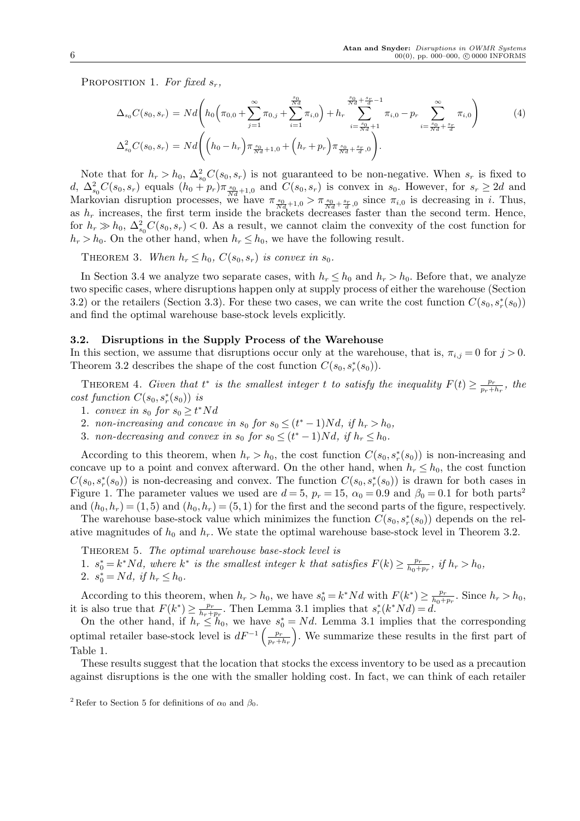PROPOSITION 1. For fixed  $s_r$ ,

$$
\Delta_{s_0} C(s_0, s_r) = N d \left( h_0 \left( \pi_{0,0} + \sum_{j=1}^{\infty} \pi_{0,j} + \sum_{i=1}^{\frac{s_0}{N d}} \pi_{i,0} \right) + h_r \sum_{\substack{i=s_0+1\\i=\frac{s_0}{N d}+1}}^{\frac{s_0}{N d} + \frac{s_r}{d} - 1} \pi_{i,0} - p_r \sum_{\substack{i=s_0+1\\i=\frac{s_0}{N d} + \frac{s_r}{d}}}^{\infty} \pi_{i,0} \right)
$$
\n
$$
\Delta_{s_0}^2 C(s_0, s_r) = N d \left( \left( h_0 - h_r \right) \pi_{\frac{s_0}{N d} + 1,0} + \left( h_r + p_r \right) \pi_{\frac{s_0}{N d} + \frac{s_r}{d},0}^{\frac{s_0}{N d} + \frac{s_r}{d} - 1} \right).
$$
\n
$$
(4)
$$

Note that for  $h_r > h_0$ ,  $\Delta_{s_0}^2 C(s_0, s_r)$  is not guaranteed to be non-negative. When  $s_r$  is fixed to d,  $\Delta_{s_0}^2 C(s_0, s_r)$  equals  $(h_0 + p_r) \pi_{\frac{s_0}{Nd}+1,0}$  and  $C(s_0, s_r)$  is convex in  $s_0$ . However, for  $s_r \geq 2d$  and Markovian disruption processes, we have  $\pi_{s_0+1,0} > \pi_{\frac{s_0}{Nd}+\frac{s_r}{d},0}$  since  $\pi_{i,0}$  is decreasing in i. Thus, as  $h_r$  increases, the first term inside the brackets decreases faster than the second term. Hence, for  $h_r \gg h_0$ ,  $\Delta_{s_0}^2 C(s_0, s_r) < 0$ . As a result, we cannot claim the convexity of the cost function for  $h_r > h_0$ . On the other hand, when  $h_r \leq h_0$ , we have the following result.

THEOREM 3. When  $h_r \leq h_0$ ,  $C(s_0, s_r)$  is convex in  $s_0$ .

In Section 3.4 we analyze two separate cases, with  $h_r \leq h_0$  and  $h_r > h_0$ . Before that, we analyze two specific cases, where disruptions happen only at supply process of either the warehouse (Section 3.2) or the retailers (Section 3.3). For these two cases, we can write the cost function  $C(s_0, s_r^*(s_0))$ and find the optimal warehouse base-stock levels explicitly.

#### 3.2. Disruptions in the Supply Process of the Warehouse

In this section, we assume that disruptions occur only at the warehouse, that is,  $\pi_{i,j} = 0$  for  $j > 0$ . Theorem 3.2 describes the shape of the cost function  $C(s_0, s_r^*(s_0))$ .

THEOREM 4. Given that  $t^*$  is the smallest integer t to satisfy the inequality  $F(t) \geq \frac{p_t}{n+1}$  $\frac{p_r}{p_r+h_r}$ , the cost function  $C(s_0, s_r^*(s_0))$  is

- 1. convex in  $s_0$  for  $s_0 \ge t^*Nd$
- 2. non-increasing and concave in  $s_0$  for  $s_0 \leq (t^* 1)Nd$ , if  $h_r > h_0$ ,
- 3. non-decreasing and convex in  $s_0$  for  $s_0 \le (t^* 1)Nd$ , if  $h_r \le h_0$ .

According to this theorem, when  $h_r > h_0$ , the cost function  $C(s_0, s_r^*(s_0))$  is non-increasing and concave up to a point and convex afterward. On the other hand, when  $h_r \leq h_0$ , the cost function  $C(s_0, s_r^*(s_0))$  is non-decreasing and convex. The function  $C(s_0, s_r^*(s_0))$  is drawn for both cases in Figure 1. The parameter values we used are  $d = 5$ ,  $p_r = 15$ ,  $\alpha_0 = 0.9$  and  $\beta_0 = 0.1$  for both parts<sup>2</sup> and  $(h_0, h_r) = (1, 5)$  and  $(h_0, h_r) = (5, 1)$  for the first and the second parts of the figure, respectively.

The warehouse base-stock value which minimizes the function  $C(s_0, s_r^*(s_0))$  depends on the relative magnitudes of  $h_0$  and  $h_r$ . We state the optimal warehouse base-stock level in Theorem 3.2.

- THEOREM 5. The optimal warehouse base-stock level is
- 1.  $s_0^* = k^*Nd$ , where  $k^*$  is the smallest integer k that satisfies  $F(k) \geq \frac{p_r}{h_0 + k}$  $\frac{p_r}{h_0+p_r}, \text{ if } h_r > h_0,$ 2.  $s_0^* = Nd$ , if  $h_r \leq h_0$ .

According to this theorem, when  $h_r > h_0$ , we have  $s_0^* = k^*Nd$  with  $F(k^*) \geq \frac{p_r}{h_0 + h}$  $\frac{p_r}{h_0+p_r}$ . Since  $h_r > h_0$ , it is also true that  $F(k^*) \geq \frac{p_r}{k+1}$  $\frac{p_r}{h_r+p_r}$ . Then Lemma 3.1 implies that  $s_r^*(k^*Nd) = d$ .

On the other hand, if  $h_r \leq h_0$ , we have  $s_0^* = Nd$ . Lemma 3.1 implies that the corresponding optimal retailer base-stock level is  $dF^{-1} \left( \frac{p_T}{p} \right)$  $\frac{p_r}{p_r+h_r}$ . We summarize these results in the first part of Table 1.

These results suggest that the location that stocks the excess inventory to be used as a precaution against disruptions is the one with the smaller holding cost. In fact, we can think of each retailer

<sup>&</sup>lt;sup>2</sup> Refer to Section 5 for definitions of  $\alpha_0$  and  $\beta_0$ .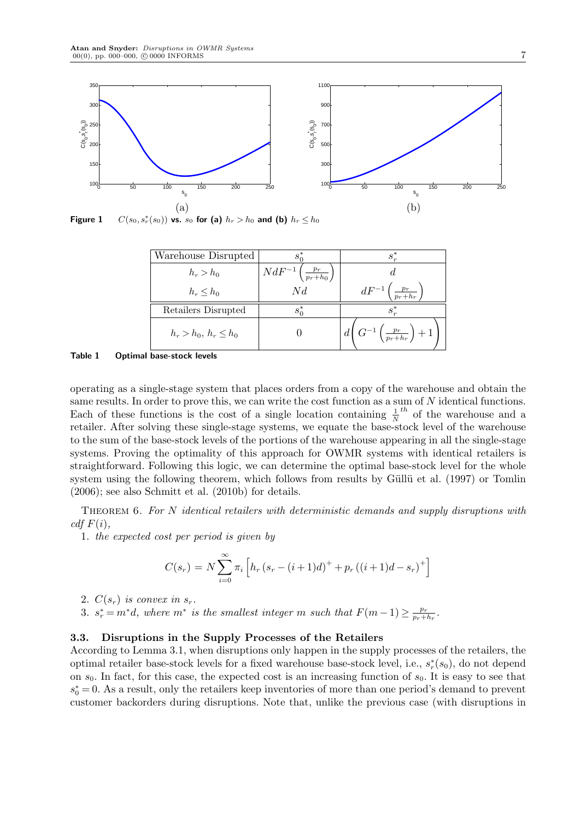

Figure 1  $C(s_0, s_r^*(s_0))$  vs.  $s_0$  for (a)  $h_r > h_0$  and (b)  $h_r \leq h_0$ 

| Warehouse Disrupted       |                                            | $S_{\infty}^*$                                           |  |  |
|---------------------------|--------------------------------------------|----------------------------------------------------------|--|--|
| $h_r > h_0$               | $NdF^{-1}\left(\frac{p_r}{p_r+h_0}\right)$ |                                                          |  |  |
| $h_r \leq h_0$            | Nd                                         | $dF^{-1}\left(\frac{p_r}{p_r+h_r}\right)$                |  |  |
| Retailers Disrupted       |                                            | $s^*$                                                    |  |  |
| $h_r > h_0, h_r \leq h_0$ |                                            | $d\left(G^{-1}\left(\frac{p_r}{p_r+h_r}\right)+1\right)$ |  |  |

Table 1 Optimal base-stock levels

operating as a single-stage system that places orders from a copy of the warehouse and obtain the same results. In order to prove this, we can write the cost function as a sum of N identical functions. Each of these functions is the cost of a single location containing  $\frac{1}{N}^{th}$  of the warehouse and a retailer. After solving these single-stage systems, we equate the base-stock level of the warehouse to the sum of the base-stock levels of the portions of the warehouse appearing in all the single-stage systems. Proving the optimality of this approach for OWMR systems with identical retailers is straightforward. Following this logic, we can determine the optimal base-stock level for the whole system using the following theorem, which follows from results by Güllü et al. (1997) or Tomlin (2006); see also Schmitt et al. (2010b) for details.

THEOREM 6. For N identical retailers with deterministic demands and supply disruptions with cdf  $F(i)$ ,

1. the expected cost per period is given by

$$
C(s_r) = N \sum_{i=0}^{\infty} \pi_i \left[ h_r (s_r - (i+1)d)^+ + p_r ((i+1)d - s_r)^+ \right]
$$

- 2.  $C(s_r)$  is convex in  $s_r$ .
- 3.  $s_r^* = m^*d$ , where  $m^*$  is the smallest integer m such that  $F(m-1) \geq \frac{p_r}{p_r+1}$  $\frac{p_r}{p_r+h_r}$ .

## 3.3. Disruptions in the Supply Processes of the Retailers

According to Lemma 3.1, when disruptions only happen in the supply processes of the retailers, the optimal retailer base-stock levels for a fixed warehouse base-stock level, i.e.,  $s_r^*(s_0)$ , do not depend on  $s_0$ . In fact, for this case, the expected cost is an increasing function of  $s_0$ . It is easy to see that  $s_0^* = 0$ . As a result, only the retailers keep inventories of more than one period's demand to prevent customer backorders during disruptions. Note that, unlike the previous case (with disruptions in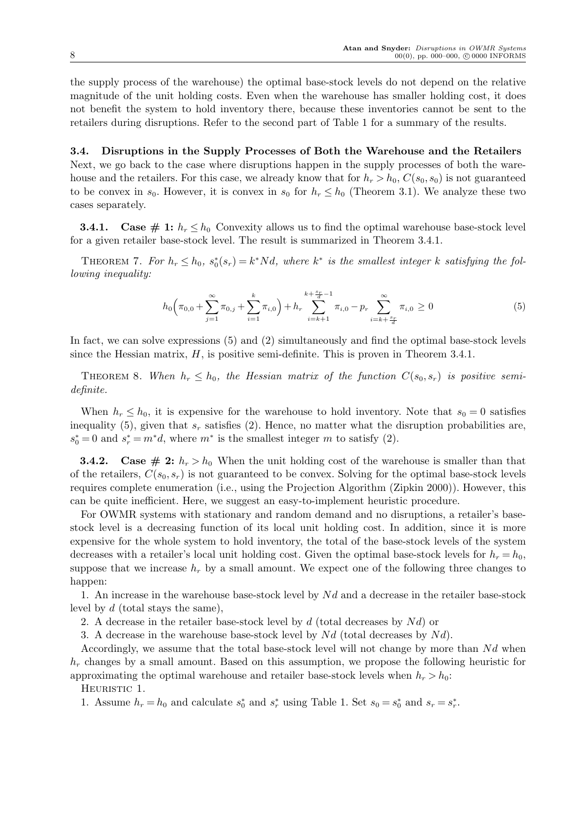the supply process of the warehouse) the optimal base-stock levels do not depend on the relative magnitude of the unit holding costs. Even when the warehouse has smaller holding cost, it does not benefit the system to hold inventory there, because these inventories cannot be sent to the retailers during disruptions. Refer to the second part of Table 1 for a summary of the results.

3.4. Disruptions in the Supply Processes of Both the Warehouse and the Retailers Next, we go back to the case where disruptions happen in the supply processes of both the warehouse and the retailers. For this case, we already know that for  $h_r > h_0$ ,  $C(s_0, s_0)$  is not guaranteed to be convex in  $s_0$ . However, it is convex in  $s_0$  for  $h_r \leq h_0$  (Theorem 3.1). We analyze these two cases separately.

**3.4.1.** Case  $\#$  1:  $h_r \leq h_0$  Convexity allows us to find the optimal warehouse base-stock level for a given retailer base-stock level. The result is summarized in Theorem 3.4.1.

THEOREM 7. For  $h_r \leq h_0$ ,  $s_0^*(s_r) = k^*Nd$ , where  $k^*$  is the smallest integer k satisfying the following inequality:

$$
h_0\left(\pi_{0,0} + \sum_{j=1}^{\infty} \pi_{0,j} + \sum_{i=1}^k \pi_{i,0}\right) + h_r \sum_{i=k+1}^{k+\frac{s_r}{d}-1} \pi_{i,0} - p_r \sum_{i=k+\frac{s_r}{d}}^{\infty} \pi_{i,0} \ge 0
$$
\n
$$
(5)
$$

In fact, we can solve expressions (5) and (2) simultaneously and find the optimal base-stock levels since the Hessian matrix,  $H$ , is positive semi-definite. This is proven in Theorem 3.4.1.

THEOREM 8. When  $h_r \leq h_0$ , the Hessian matrix of the function  $C(s_0, s_r)$  is positive semidefinite.

When  $h_r \leq h_0$ , it is expensive for the warehouse to hold inventory. Note that  $s_0 = 0$  satisfies inequality (5), given that  $s_r$  satisfies (2). Hence, no matter what the disruption probabilities are,  $s_0^* = 0$  and  $s_r^* = m^*d$ , where  $m^*$  is the smallest integer m to satisfy (2).

**3.4.2.** Case  $\#$  2:  $h_r > h_0$  When the unit holding cost of the warehouse is smaller than that of the retailers,  $C(s_0, s_r)$  is not guaranteed to be convex. Solving for the optimal base-stock levels requires complete enumeration (i.e., using the Projection Algorithm (Zipkin 2000)). However, this can be quite inefficient. Here, we suggest an easy-to-implement heuristic procedure.

For OWMR systems with stationary and random demand and no disruptions, a retailer's basestock level is a decreasing function of its local unit holding cost. In addition, since it is more expensive for the whole system to hold inventory, the total of the base-stock levels of the system decreases with a retailer's local unit holding cost. Given the optimal base-stock levels for  $h_r = h_0$ , suppose that we increase  $h_r$  by a small amount. We expect one of the following three changes to happen:

1. An increase in the warehouse base-stock level by  $Nd$  and a decrease in the retailer base-stock level by  $d$  (total stays the same),

2. A decrease in the retailer base-stock level by  $d$  (total decreases by  $Nd$ ) or

3. A decrease in the warehouse base-stock level by  $Nd$  (total decreases by  $Nd$ ).

Accordingly, we assume that the total base-stock level will not change by more than  $Nd$  when  $h_r$  changes by a small amount. Based on this assumption, we propose the following heuristic for approximating the optimal warehouse and retailer base-stock levels when  $h_r > h_0$ :

HEURISTIC 1.

1. Assume  $h_r = h_0$  and calculate  $s_0^*$  and  $s_r^*$  using Table 1. Set  $s_0 = s_0^*$  and  $s_r = s_r^*$ .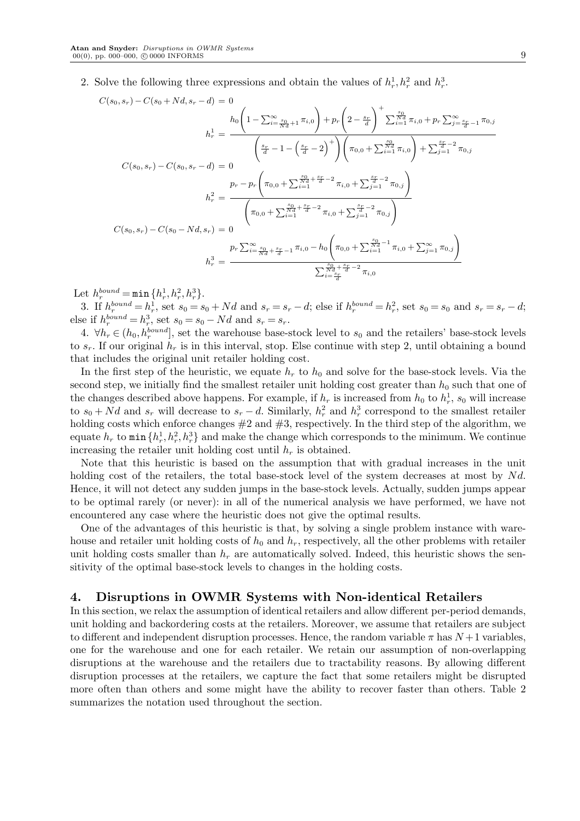2. Solve the following three expressions and obtain the values of  $h_r^1, h_r^2$  and  $h_r^3$ .

$$
C(s_0, s_r) - C(s_0 + Nd, s_r - d) = 0
$$
  
\n
$$
h_r^1 = \frac{h_0 \left(1 - \sum_{i = \frac{s_0}{Nd} + 1}^{\infty} \pi_{i,0}\right) + p_r \left(2 - \frac{s_r}{d}\right)^+ \sum_{i = 1}^{\frac{s_0}{Nd}} \pi_{i,0} + p_r \sum_{j = \frac{s_r}{d} - 1}^{\infty} \pi_{0,j}}{\left(\frac{s_r}{d} - 1 - \left(\frac{s_r}{d} - 2\right)^+\right) \left(\pi_{0,0} + \sum_{i = 1}^{\frac{s_0}{Nd}} \pi_{i,0}\right) + \sum_{j = 1}^{\frac{s_r}{d} - 2} \pi_{0,j}}
$$
  
\n
$$
C(s_0, s_r) - C(s_0, s_r - d) = 0
$$
  
\n
$$
h_r^2 = \frac{p_r - p_r \left(\pi_{0,0} + \sum_{i = 1}^{\frac{s_0}{Nd} + \frac{s_r}{d} - 2} \pi_{i,0} + \sum_{j = 1}^{\frac{s_r}{d} - 2} \pi_{0,j}\right)}{\left(\pi_{0,0} + \sum_{i = 1}^{\frac{s_0}{Nd} + \frac{s_r}{d} - 2} \pi_{i,0} + \sum_{j = 1}^{\frac{s_r}{d} - 2} \pi_{0,j}\right)}
$$
  
\n
$$
C(s_0, s_r) - C(s_0 - Nd, s_r) = 0
$$
  
\n
$$
h_r^3 = \frac{p_r \sum_{i = \frac{s_0}{Nd} + \frac{s_r}{d} - 1}^{\infty} \pi_{i,0} - h_0 \left(\pi_{0,0} + \sum_{i = 1}^{\frac{s_0}{Nd} - 1} \pi_{i,0} + \sum_{j = 1}^{\infty} \pi_{0,j}\right)}{\sum_{i = \frac{s_r}{d}}^{\frac{s_0}{Nd} + \frac{s_r}{d} - 2} \pi_{i,0}}
$$

Let  $h_r^{bound} = \min\{h_r^1, h_r^2, h_r^3\}.$ 

3. If  $h_r^{bound} = h_r^1$ , set  $s_0 = s_0 + Nd$  and  $s_r = s_r - d$ ; else if  $h_r^{bound} = h_r^2$ , set  $s_0 = s_0$  and  $s_r = s_r - d$ ; else if  $h_r^{bound} = h_r^3$ , set  $s_0 = s_0 - Nd$  and  $s_r = s_r$ .

4.  $\forall h_r \in (h_0, h_r^{bound}]$ , set the warehouse base-stock level to  $s_0$  and the retailers' base-stock levels to  $s_r$ . If our original  $h_r$  is in this interval, stop. Else continue with step 2, until obtaining a bound that includes the original unit retailer holding cost.

In the first step of the heuristic, we equate  $h_r$  to  $h_0$  and solve for the base-stock levels. Via the second step, we initially find the smallest retailer unit holding cost greater than  $h_0$  such that one of the changes described above happens. For example, if  $h_r$  is increased from  $h_0$  to  $h_r^1$ ,  $s_0$  will increase to  $s_0 + Nd$  and  $s_r$  will decrease to  $s_r - d$ . Similarly,  $h_r^2$  and  $h_r^3$  correspond to the smallest retailer holding costs which enforce changes  $\#2$  and  $\#3$ , respectively. In the third step of the algorithm, we equate  $h_r$  to  $\min\{h_r^1, h_r^2, h_r^3\}$  and make the change which corresponds to the minimum. We continue increasing the retailer unit holding cost until  $h_r$  is obtained.

Note that this heuristic is based on the assumption that with gradual increases in the unit holding cost of the retailers, the total base-stock level of the system decreases at most by  $Nd$ . Hence, it will not detect any sudden jumps in the base-stock levels. Actually, sudden jumps appear to be optimal rarely (or never): in all of the numerical analysis we have performed, we have not encountered any case where the heuristic does not give the optimal results.

One of the advantages of this heuristic is that, by solving a single problem instance with warehouse and retailer unit holding costs of  $h_0$  and  $h_r$ , respectively, all the other problems with retailer unit holding costs smaller than  $h_r$  are automatically solved. Indeed, this heuristic shows the sensitivity of the optimal base-stock levels to changes in the holding costs.

# 4. Disruptions in OWMR Systems with Non-identical Retailers

In this section, we relax the assumption of identical retailers and allow different per-period demands, unit holding and backordering costs at the retailers. Moreover, we assume that retailers are subject to different and independent disruption processes. Hence, the random variable  $\pi$  has  $N+1$  variables, one for the warehouse and one for each retailer. We retain our assumption of non-overlapping disruptions at the warehouse and the retailers due to tractability reasons. By allowing different disruption processes at the retailers, we capture the fact that some retailers might be disrupted more often than others and some might have the ability to recover faster than others. Table 2 summarizes the notation used throughout the section.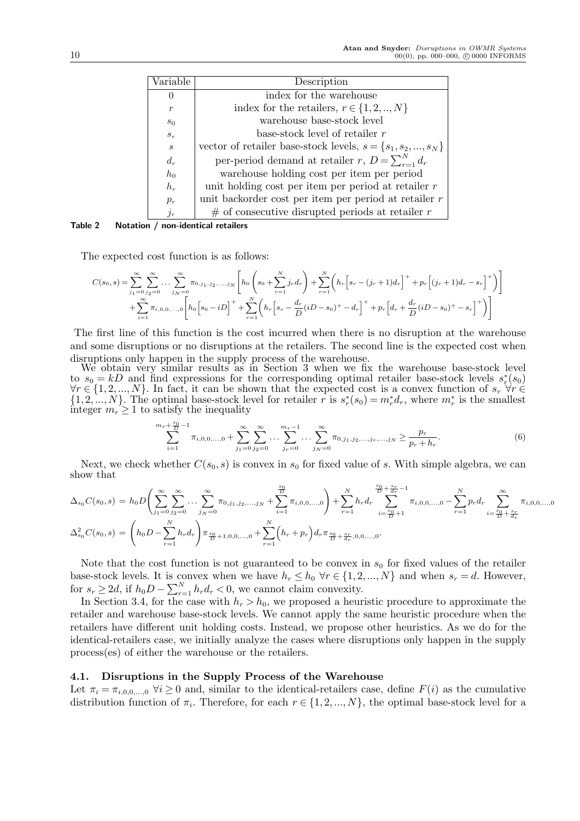| Variable                    | Description                                                     |
|-----------------------------|-----------------------------------------------------------------|
| $\Omega$                    | index for the warehouse                                         |
| r                           | index for the retailers, $r \in \{1, 2, , N\}$                  |
| $s_0$                       | warehouse base-stock level                                      |
| $S_r$                       | base-stock level of retailer $r$                                |
| $\mathcal{S}_{\mathcal{S}}$ | vector of retailer base-stock levels, $s = \{s_1, s_2, , s_N\}$ |
| $d_r$                       | per-period demand at retailer r, $D = \sum_{r=1}^{N} d_r$       |
| $h_0$                       | warehouse holding cost per item per period                      |
| $h_r$                       | unit holding cost per item per period at retailer $r$           |
| $p_r$                       | unit backorder cost per item per period at retailer $r$         |
| $j_r$                       | $\#$ of consecutive disrupted periods at retailer r             |

Table 2 Notation / non-identical retailers

The expected cost function is as follows:

$$
C(s_0, s) = \sum_{j_1=0}^{\infty} \sum_{j_2=0}^{\infty} \dots \sum_{j_N=0}^{\infty} \pi_{0, j_1, j_2, \dots, j_N} \left[ h_0 \left( s_0 + \sum_{r=1}^N j_r d_r \right) + \sum_{r=1}^N \left( h_r \left[ s_r - (j_r + 1) d_r \right]^+ + p_r \left[ (j_r + 1) d_r - s_r \right]^+ \right) \right]
$$
  
+ 
$$
\sum_{i=1}^{\infty} \pi_{i,0,0,\dots,0} \left[ h_0 \left[ s_0 - i D \right]^+ + \sum_{r=1}^N \left( h_r \left[ s_r - \frac{d_r}{D} (i D - s_0)^+ - d_r \right]^+ + p_r \left[ d_r + \frac{d_r}{D} (i D - s_0)^+ - s_r \right]^+ \right) \right]
$$

The first line of this function is the cost incurred when there is no disruption at the warehouse and some disruptions or no disruptions at the retailers. The second line is the expected cost when disruptions only happen in the supply process of the warehouse.

We obtain very similar results as in Section 3 when we fix the warehouse base-stock level to  $s_0 = kD$  and find expressions for the corresponding optimal retailer base-stock levels  $s_r^*(s_0)$  $\forall r \in \{1, 2, ..., N\}$ . In fact, it can be shown that the expected cost is a convex function of  $s_r$   $\forall r \in$  $\{1, 2, ..., N\}$ . The optimal base-stock level for retailer r is  $s_r^*(s_0) = m_r^* d_r$ , where  $m_r^*$  is the smallest integer  $m_r \geq 1$  to satisfy the inequality

$$
\sum_{i=1}^{m_r+\frac{s_0}{D}-1} \pi_{i,0,0,\dots,0} + \sum_{j_1=0}^{\infty} \sum_{j_2=0}^{\infty} \dots \sum_{j_r=0}^{m_r-1} \dots \sum_{j_N=0}^{\infty} \pi_{0,j_1,j_2,\dots,j_r,\dots,j_N} \ge \frac{p_r}{p_r + h_r}.
$$
 (6)

Next, we check whether  $C(s_0, s)$  is convex in  $s_0$  for fixed value of s. With simple algebra, we can show that

$$
\Delta_{s_0} C(s_0, s) = h_0 D \left( \sum_{j_1=0}^{\infty} \sum_{j_2=0}^{\infty} \dots \sum_{j_N=0}^{\infty} \pi_{0, j_1, j_2, \dots, j_N} + \sum_{i=1}^{s_D} \pi_{i, 0, 0, \dots, 0} \right) + \sum_{r=1}^{N} h_r d_r \sum_{i=\frac{s_0}{D}+1}^{\frac{s_0}{D} + \frac{s_r}{d_r} - 1} \pi_{i, 0, 0, \dots, 0} - \sum_{r=1}^{N} p_r d_r \sum_{i=\frac{s_0}{D}+\frac{s_r}{d_r}}^{\infty} \pi_{i, 0, 0, \dots, 0}
$$
  

$$
\Delta_{s_0}^2 C(s_0, s) = \left( h_0 D - \sum_{r=1}^{N} h_r d_r \right) \pi_{\frac{s_0}{D}+1, 0, 0, \dots, 0} + \sum_{r=1}^{N} \left( h_r + p_r \right) d_r \pi_{\frac{s_0}{D}+\frac{s_r}{d_r}, 0, 0, \dots, 0}.
$$

Note that the cost function is not guaranteed to be convex in  $s_0$  for fixed values of the retailer base-stock levels. It is convex when we have  $h_r \leq h_0 \,\forall r \in \{1, 2, ..., N\}$  and when  $s_r = d$ . However, for  $s_r \geq 2d$ , if  $h_0D - \sum_{r=1}^{N} h_r d_r < 0$ , we cannot claim convexity.

In Section 3.4, for the case with  $h_r > h_0$ , we proposed a heuristic procedure to approximate the retailer and warehouse base-stock levels. We cannot apply the same heuristic procedure when the retailers have different unit holding costs. Instead, we propose other heuristics. As we do for the identical-retailers case, we initially analyze the cases where disruptions only happen in the supply process(es) of either the warehouse or the retailers.

#### 4.1. Disruptions in the Supply Process of the Warehouse

Let  $\pi_i = \pi_{i,0,0,\dots,0}$   $\forall i \geq 0$  and, similar to the identical-retailers case, define  $F(i)$  as the cumulative distribution function of  $\pi_i$ . Therefore, for each  $r \in \{1, 2, ..., N\}$ , the optimal base-stock level for a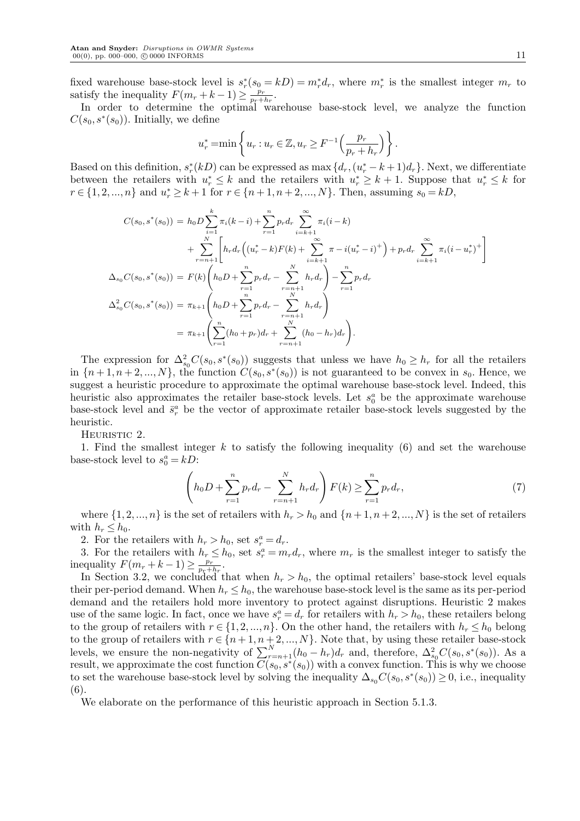fixed warehouse base-stock level is  $s_r^*(s_0 = kD) = m_r^* d_r$ , where  $m_r^*$  is the smallest integer  $m_r$  to satisfy the inequality  $F(m_r + k - 1) \geq \frac{p_r}{m_r + k}$  $\frac{p_r}{p_r+h_r}$ .

In order to determine the optimal warehouse base-stock level, we analyze the function  $C(s_0, s^*(s_0))$ . Initially, we define

$$
u_r^* = \min\left\{u_r : u_r \in \mathbb{Z}, u_r \ge F^{-1}\left(\frac{p_r}{p_r + h_r}\right)\right\}.
$$

Based on this definition,  $s_r^*(kD)$  can be expressed as  $\max\{d_r,(u_r^*-k+1)d_r\}$ . Next, we differentiate between the retailers with  $u_r^* \leq k$  and the retailers with  $u_r^* \geq k+1$ . Suppose that  $u_r^* \leq k$  for  $r \in \{1, 2, ..., n\}$  and  $u_r^* \geq k+1$  for  $r \in \{n+1, n+2, ..., N\}$ . Then, assuming  $s_0 = kD$ ,

$$
C(s_0, s^*(s_0)) = h_0 D \sum_{i=1}^k \pi_i (k-i) + \sum_{r=1}^n p_r d_r \sum_{i=k+1}^\infty \pi_i (i-k) + \sum_{r=n+1}^N \left[ h_r d_r \left( (u_r^* - k) F(k) + \sum_{i=k+1}^\infty \pi - i (u_r^* - i)^+ \right) + p_r d_r \sum_{i=k+1}^\infty \pi_i (i - u_r^*)^+ \right] \n\Delta_{s_0} C(s_0, s^*(s_0)) = F(k) \left( h_0 D + \sum_{r=1}^n p_r d_r - \sum_{r=n+1}^N h_r d_r \right) - \sum_{r=1}^n p_r d_r \n\Delta_{s_0}^2 C(s_0, s^*(s_0)) = \pi_{k+1} \left( h_0 D + \sum_{r=1}^n p_r d_r - \sum_{r=n+1}^N h_r d_r \right) = \pi_{k+1} \left( \sum_{r=1}^n (h_0 + p_r) d_r + \sum_{r=n+1}^N (h_0 - h_r) d_r \right).
$$

The expression for  $\Delta_{s_0}^2 C(s_0, s^*(s_0))$  suggests that unless we have  $h_0 \geq h_r$  for all the retailers in  $\{n+1, n+2, ..., N\}$ , the function  $C(s_0, s^*(s_0))$  is not guaranteed to be convex in  $s_0$ . Hence, we suggest a heuristic procedure to approximate the optimal warehouse base-stock level. Indeed, this heuristic also approximates the retailer base-stock levels. Let  $s_0^a$  be the approximate warehouse base-stock level and  $\bar{s}^a_r$  be the vector of approximate retailer base-stock levels suggested by the heuristic.

HEURISTIC 2.

1. Find the smallest integer k to satisfy the following inequality  $(6)$  and set the warehouse base-stock level to  $s_0^a = kD$ :

$$
\left(h_0 D + \sum_{r=1}^n p_r d_r - \sum_{r=n+1}^N h_r d_r\right) F(k) \ge \sum_{r=1}^n p_r d_r,\tag{7}
$$

where  $\{1, 2, ..., n\}$  is the set of retailers with  $h_r > h_0$  and  $\{n+1, n+2, ..., N\}$  is the set of retailers with  $h_r \leq h_0$ .

2. For the retailers with  $h_r > h_0$ , set  $s_r^a = d_r$ .

3. For the retailers with  $h_r \leq h_0$ , set  $s_r^a = m_r d_r$ , where  $m_r$  is the smallest integer to satisfy the inequality  $F(m_r + k - 1) \geq \frac{p_r}{n_r+1}$  $\frac{p_r}{p_r+h_r}$ .

In Section 3.2, we concluded that when  $h_r > h_0$ , the optimal retailers' base-stock level equals their per-period demand. When  $h_r \leq h_0$ , the warehouse base-stock level is the same as its per-period demand and the retailers hold more inventory to protect against disruptions. Heuristic 2 makes use of the same logic. In fact, once we have  $s_r^a = d_r$  for retailers with  $h_r > h_0$ , these retailers belong to the group of retailers with  $r \in \{1, 2, ..., n\}$ . On the other hand, the retailers with  $h_r \leq h_0$  belong to the group of retailers with  $r \in \{n+1, n+2, ..., N\}$ . Note that, by using these retailer base-stock levels, we ensure the non-negativity of  $\sum_{r=n+1}^{N} (h_0 - h_r)d_r$  and, therefore,  $\Delta_{s_0}^2 C(s_0, s^*(s_0))$ . As a result, we approximate the cost function  $C(s_0, s^*(s_0))$  with a convex function. This is why we choose to set the warehouse base-stock level by solving the inequality  $\Delta_{s_0}C(s_0, s^*(s_0)) \geq 0$ , i.e., inequality (6).

We elaborate on the performance of this heuristic approach in Section 5.1.3.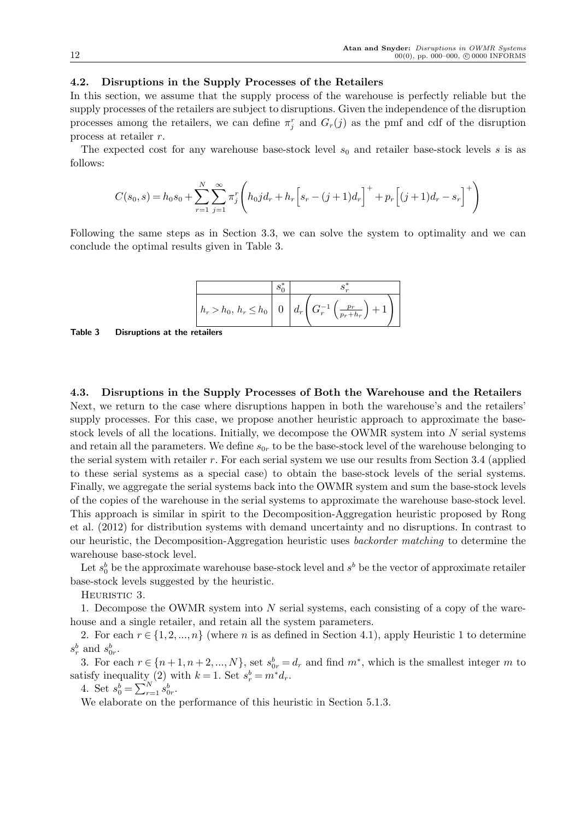## 4.2. Disruptions in the Supply Processes of the Retailers

In this section, we assume that the supply process of the warehouse is perfectly reliable but the supply processes of the retailers are subject to disruptions. Given the independence of the disruption processes among the retailers, we can define  $\pi_j^r$  and  $G_r(j)$  as the pmf and cdf of the disruption process at retailer r.

The expected cost for any warehouse base-stock level  $s_0$  and retailer base-stock levels s is as follows:

$$
C(s_0, s) = h_0 s_0 + \sum_{r=1}^{N} \sum_{j=1}^{\infty} \pi_j^r \left( h_0 j d_r + h_r \left[ s_r - (j+1) d_r \right]^{+} + p_r \left[ (j+1) d_r - s_r \right]^{+} \right)
$$

Following the same steps as in Section 3.3, we can solve the system to optimality and we can conclude the optimal results given in Table 3.

$$
\begin{array}{|c|c|} \hline & s_0^* & s_r^* \\ \hline & & \\ h_r > h_0, \, h_r \leq h_0 & 0 & d_r \left( G_r^{-1} \left( \frac{p_r}{p_r + h_r} \right) + 1 \right) \end{array}
$$

Table 3 Disruptions at the retailers

4.3. Disruptions in the Supply Processes of Both the Warehouse and the Retailers Next, we return to the case where disruptions happen in both the warehouse's and the retailers' supply processes. For this case, we propose another heuristic approach to approximate the basestock levels of all the locations. Initially, we decompose the OWMR system into N serial systems and retain all the parameters. We define  $s_{0r}$  to be the base-stock level of the warehouse belonging to the serial system with retailer r. For each serial system we use our results from Section 3.4 (applied to these serial systems as a special case) to obtain the base-stock levels of the serial systems. Finally, we aggregate the serial systems back into the OWMR system and sum the base-stock levels of the copies of the warehouse in the serial systems to approximate the warehouse base-stock level. This approach is similar in spirit to the Decomposition-Aggregation heuristic proposed by Rong et al. (2012) for distribution systems with demand uncertainty and no disruptions. In contrast to our heuristic, the Decomposition-Aggregation heuristic uses backorder matching to determine the warehouse base-stock level.

Let  $s_0^b$  be the approximate warehouse base-stock level and  $s^b$  be the vector of approximate retailer base-stock levels suggested by the heuristic.

HEURISTIC 3.

1. Decompose the OWMR system into N serial systems, each consisting of a copy of the warehouse and a single retailer, and retain all the system parameters.

2. For each  $r \in \{1, 2, ..., n\}$  (where *n* is as defined in Section 4.1), apply Heuristic 1 to determine  $s_r^b$  and  $s_{0r}^b$ .

3. For each  $r \in \{n+1, n+2, ..., N\}$ , set  $s_{0r}^b = d_r$  and find  $m^*$ , which is the smallest integer m to satisfy inequality (2) with  $k = 1$ . Set  $s_r^b = m^* d_r$ .

4. Set  $s_0^b = \sum_{r=1}^N s_{0r}^b$ .

We elaborate on the performance of this heuristic in Section 5.1.3.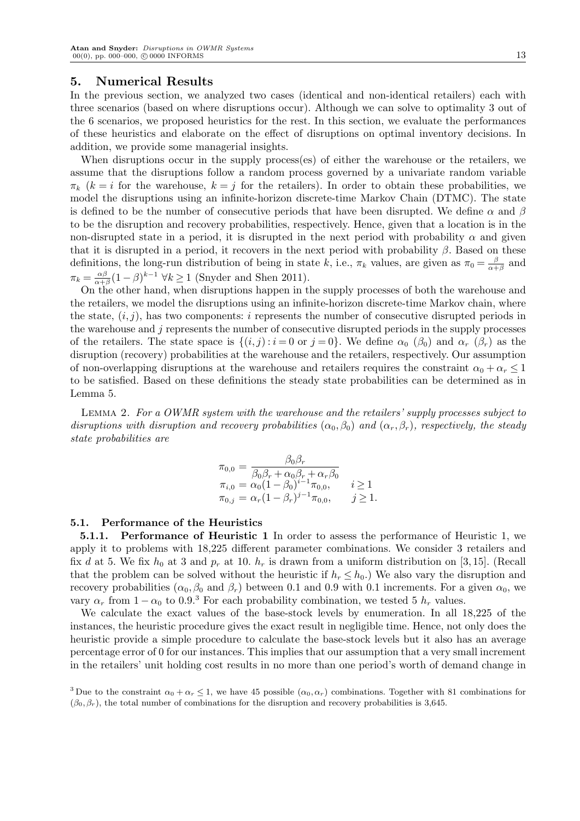## 5. Numerical Results

In the previous section, we analyzed two cases (identical and non-identical retailers) each with three scenarios (based on where disruptions occur). Although we can solve to optimality 3 out of the 6 scenarios, we proposed heuristics for the rest. In this section, we evaluate the performances of these heuristics and elaborate on the effect of disruptions on optimal inventory decisions. In addition, we provide some managerial insights.

When disruptions occur in the supply process(es) of either the warehouse or the retailers, we assume that the disruptions follow a random process governed by a univariate random variable  $\pi_k$  ( $k = i$  for the warehouse,  $k = j$  for the retailers). In order to obtain these probabilities, we model the disruptions using an infinite-horizon discrete-time Markov Chain (DTMC). The state is defined to be the number of consecutive periods that have been disrupted. We define  $\alpha$  and  $\beta$ to be the disruption and recovery probabilities, respectively. Hence, given that a location is in the non-disrupted state in a period, it is disrupted in the next period with probability  $\alpha$  and given that it is disrupted in a period, it recovers in the next period with probability  $\beta$ . Based on these definitions, the long-run distribution of being in state k, i.e.,  $\pi_k$  values, are given as  $\pi_0 = \frac{\beta}{\alpha + 1}$  $\frac{\beta}{\alpha+\beta}$  and  $\pi_k = \frac{\alpha \beta}{\alpha + \beta}$  $\frac{\alpha\beta}{\alpha+\beta}(1-\beta)^{k-1}$   $\forall k \ge 1$  (Snyder and Shen 2011).

On the other hand, when disruptions happen in the supply processes of both the warehouse and the retailers, we model the disruptions using an infinite-horizon discrete-time Markov chain, where the state,  $(i, j)$ , has two components: i represents the number of consecutive disrupted periods in the warehouse and j represents the number of consecutive disrupted periods in the supply processes of the retailers. The state space is  $\{(i, j) : i = 0 \text{ or } j = 0\}$ . We define  $\alpha_0$  ( $\beta_0$ ) and  $\alpha_r$  ( $\beta_r$ ) as the disruption (recovery) probabilities at the warehouse and the retailers, respectively. Our assumption of non-overlapping disruptions at the warehouse and retailers requires the constraint  $\alpha_0 + \alpha_r \leq 1$ to be satisfied. Based on these definitions the steady state probabilities can be determined as in Lemma 5.

LEMMA 2. For a OWMR system with the warehouse and the retailers' supply processes subject to disruptions with disruption and recovery probabilities  $(\alpha_0, \beta_0)$  and  $(\alpha_r, \beta_r)$ , respectively, the steady state probabilities are

$$
\begin{array}{ll}\n\pi_{0,0} = \frac{\beta_0 \beta_r}{\beta_0 \beta_r + \alpha_0 \beta_r + \alpha_r \beta_0} \\
\pi_{i,0} = \alpha_0 (1 - \beta_0)^{i-1} \pi_{0,0}, \quad i \ge 1 \\
\pi_{0,j} = \alpha_r (1 - \beta_r)^{j-1} \pi_{0,0}, \quad j \ge 1.\n\end{array}
$$

#### 5.1. Performance of the Heuristics

5.1.1. Performance of Heuristic 1 In order to assess the performance of Heuristic 1, we apply it to problems with 18,225 different parameter combinations. We consider 3 retailers and fix d at 5. We fix  $h_0$  at 3 and  $p_r$  at 10.  $h_r$  is drawn from a uniform distribution on [3,15]. (Recall that the problem can be solved without the heuristic if  $h_r \leq h_0$ .) We also vary the disruption and recovery probabilities  $(\alpha_0, \beta_0 \text{ and } \beta_r)$  between 0.1 and 0.9 with 0.1 increments. For a given  $\alpha_0$ , we vary  $\alpha_r$  from  $1 - \alpha_0$  to 0.9.<sup>3</sup> For each probability combination, we tested 5  $h_r$  values.

We calculate the exact values of the base-stock levels by enumeration. In all 18,225 of the instances, the heuristic procedure gives the exact result in negligible time. Hence, not only does the heuristic provide a simple procedure to calculate the base-stock levels but it also has an average percentage error of 0 for our instances. This implies that our assumption that a very small increment in the retailers' unit holding cost results in no more than one period's worth of demand change in

<sup>&</sup>lt;sup>3</sup> Due to the constraint  $\alpha_0 + \alpha_r \le 1$ , we have 45 possible  $(\alpha_0, \alpha_r)$  combinations. Together with 81 combinations for  $(\beta_0, \beta_r)$ , the total number of combinations for the disruption and recovery probabilities is 3,645.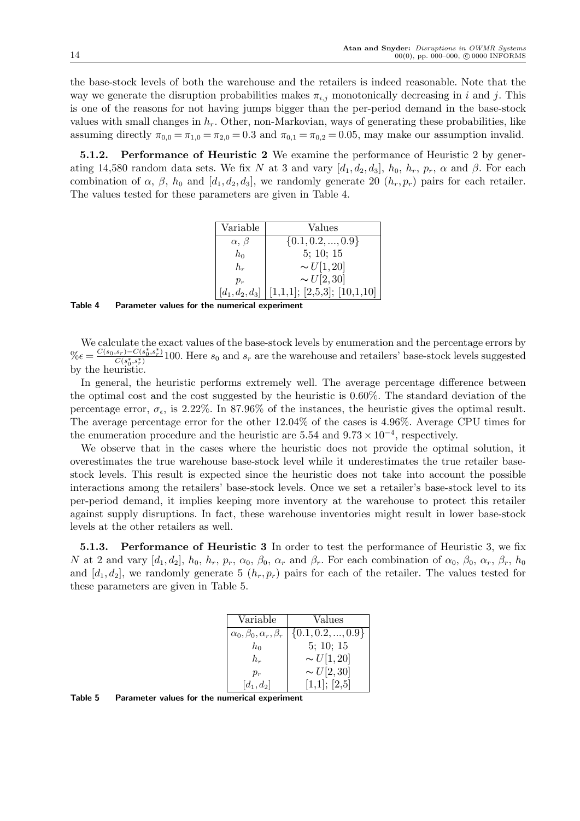the base-stock levels of both the warehouse and the retailers is indeed reasonable. Note that the way we generate the disruption probabilities makes  $\pi_{i,j}$  monotonically decreasing in i and j. This is one of the reasons for not having jumps bigger than the per-period demand in the base-stock values with small changes in  $h_r$ . Other, non-Markovian, ways of generating these probabilities, like assuming directly  $\pi_{0,0} = \pi_{1,0} = \pi_{2,0} = 0.3$  and  $\pi_{0,1} = \pi_{0,2} = 0.05$ , may make our assumption invalid.

5.1.2. Performance of Heuristic 2 We examine the performance of Heuristic 2 by generating 14,580 random data sets. We fix N at 3 and vary  $[d_1, d_2, d_3]$ ,  $h_0$ ,  $h_r$ ,  $p_r$ ,  $\alpha$  and  $\beta$ . For each combination of  $\alpha$ ,  $\beta$ ,  $h_0$  and  $[d_1, d_2, d_3]$ , we randomly generate 20  $(h_r, p_r)$  pairs for each retailer. The values tested for these parameters are given in Table 4.

| Variable        | Values                                          |
|-----------------|-------------------------------------------------|
| $\alpha, \beta$ | $\{0.1, 0.2, , 0.9\}$                           |
| $h_0$           | 5; 10; 15                                       |
| $h_r$           | $\sim U[1, 20]$                                 |
| $p_r$           | $\sim U[2, 30]$                                 |
|                 | $[d_1, d_2, d_3]$   [1,1,1]; [2,5,3]; [10,1,10] |

Table 4 Parameter values for the numerical experiment

We calculate the exact values of the base-stock levels by enumeration and the percentage errors by  $\% \epsilon = \frac{C(s_0, s_r) - C(s_0^*, s_r^*)}{C(s_*^*, s^*)}$  100. Here  $s_0$  and  $s_r$  are the warehouse and retailers' base-stock levels suggested  $C(s_0^*,s_r^*)$ by the heuristic.

In general, the heuristic performs extremely well. The average percentage difference between the optimal cost and the cost suggested by the heuristic is 0.60%. The standard deviation of the percentage error,  $\sigma_{\epsilon}$ , is 2.22%. In 87.96% of the instances, the heuristic gives the optimal result. The average percentage error for the other 12.04% of the cases is 4.96%. Average CPU times for the enumeration procedure and the heuristic are  $5.54$  and  $9.73 \times 10^{-4}$ , respectively.

We observe that in the cases where the heuristic does not provide the optimal solution, it overestimates the true warehouse base-stock level while it underestimates the true retailer basestock levels. This result is expected since the heuristic does not take into account the possible interactions among the retailers' base-stock levels. Once we set a retailer's base-stock level to its per-period demand, it implies keeping more inventory at the warehouse to protect this retailer against supply disruptions. In fact, these warehouse inventories might result in lower base-stock levels at the other retailers as well.

5.1.3. Performance of Heuristic 3 In order to test the performance of Heuristic 3, we fix N at 2 and vary  $[d_1, d_2], h_0, h_r, p_r, \alpha_0, \beta_0, \alpha_r$  and  $\beta_r$ . For each combination of  $\alpha_0, \beta_0, \alpha_r, \beta_r, h_0$ and  $[d_1, d_2]$ , we randomly generate 5  $(h_r, p_r)$  pairs for each of the retailer. The values tested for these parameters are given in Table 5.

| Variable                               | Values                |  |
|----------------------------------------|-----------------------|--|
| $\alpha_0, \beta_0, \alpha_r, \beta_r$ | $\{0.1, 0.2, , 0.9\}$ |  |
| $h_0$                                  | 5; 10; 15             |  |
| $h_r$                                  | $\sim U[1, 20]$       |  |
| $p_r$                                  | $\sim U[2,30]$        |  |
| $[d_1, d_2]$                           | $[1,1]$ ; $[2,5]$     |  |

| Parameter values for the numerical experiment<br>Table 5 |
|----------------------------------------------------------|
|----------------------------------------------------------|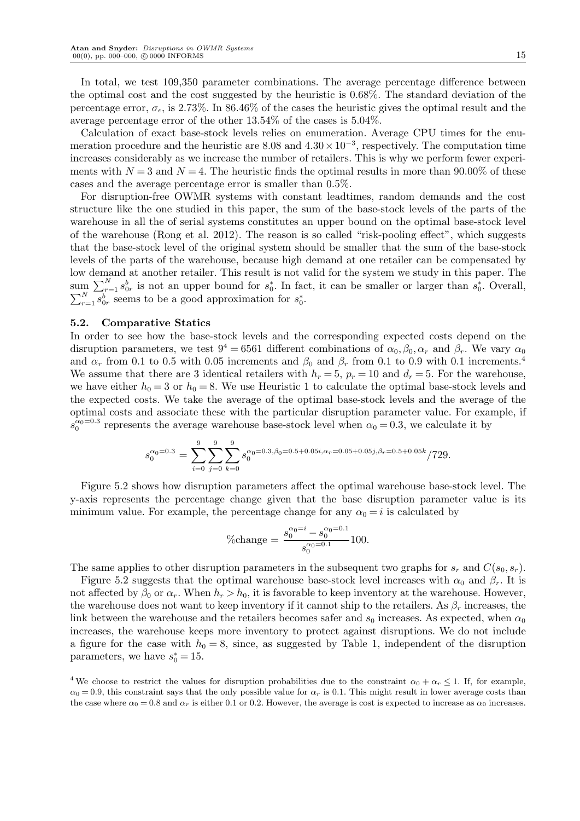In total, we test 109,350 parameter combinations. The average percentage difference between the optimal cost and the cost suggested by the heuristic is 0.68%. The standard deviation of the percentage error,  $\sigma_{\epsilon}$ , is 2.73%. In 86.46% of the cases the heuristic gives the optimal result and the average percentage error of the other 13.54% of the cases is 5.04%.

Calculation of exact base-stock levels relies on enumeration. Average CPU times for the enumeration procedure and the heuristic are  $8.08$  and  $4.30 \times 10^{-3}$ , respectively. The computation time increases considerably as we increase the number of retailers. This is why we perform fewer experiments with  $N = 3$  and  $N = 4$ . The heuristic finds the optimal results in more than 90.00% of these cases and the average percentage error is smaller than 0.5%.

For disruption-free OWMR systems with constant leadtimes, random demands and the cost structure like the one studied in this paper, the sum of the base-stock levels of the parts of the warehouse in all the of serial systems constitutes an upper bound on the optimal base-stock level of the warehouse (Rong et al. 2012). The reason is so called "risk-pooling effect", which suggests that the base-stock level of the original system should be smaller that the sum of the base-stock levels of the parts of the warehouse, because high demand at one retailer can be compensated by low demand at another retailer. This result is not valid for the system we study in this paper. The  $\lim_{N\to\infty}\sum_{r=1}^{N}s_{0r}^{b}$  is not an upper bound for  $s_{0}^{*}$ . In fact, it can be smaller or larger than  $s_{0}^{*}$ . Overall,  $\sum_{r=1}^{N} s_{0r}^{b}$  seems to be a good approximation for  $s_0^*$ .

#### 5.2. Comparative Statics

In order to see how the base-stock levels and the corresponding expected costs depend on the disruption parameters, we test  $9^4 = 6561$  different combinations of  $\alpha_0, \beta_0, \alpha_r$  and  $\beta_r$ . We vary  $\alpha_0$ and  $\alpha_r$  from 0.1 to 0.5 with 0.05 increments and  $\beta_0$  and  $\beta_r$  from 0.1 to 0.9 with 0.1 increments.<sup>4</sup> We assume that there are 3 identical retailers with  $h_r = 5$ ,  $p_r = 10$  and  $d_r = 5$ . For the warehouse, we have either  $h_0 = 3$  or  $h_0 = 8$ . We use Heuristic 1 to calculate the optimal base-stock levels and the expected costs. We take the average of the optimal base-stock levels and the average of the optimal costs and associate these with the particular disruption parameter value. For example, if  $s_0^{\alpha_0=0.3}$  represents the average warehouse base-stock level when  $\alpha_0=0.3$ , we calculate it by

$$
s_0^{\alpha_0=0.3} = \sum_{i=0}^{9} \sum_{j=0}^{9} \sum_{k=0}^{9} s_0^{\alpha_0=0.3,\beta_0=0.5+0.05i,\alpha_r=0.05+0.05j,\beta_r=0.5+0.05k} / 729.
$$

Figure 5.2 shows how disruption parameters affect the optimal warehouse base-stock level. The y-axis represents the percentage change given that the base disruption parameter value is its minimum value. For example, the percentage change for any  $\alpha_0 = i$  is calculated by

$$
\% \text{change} = \frac{s_0^{\alpha_0 = i} - s_0^{\alpha_0 = 0.1}}{s_0^{\alpha_0 = 0.1}} 100.
$$

The same applies to other disruption parameters in the subsequent two graphs for  $s_r$  and  $C(s_0, s_r)$ .

Figure 5.2 suggests that the optimal warehouse base-stock level increases with  $\alpha_0$  and  $\beta_r$ . It is not affected by  $\beta_0$  or  $\alpha_r$ . When  $h_r > h_0$ , it is favorable to keep inventory at the warehouse. However, the warehouse does not want to keep inventory if it cannot ship to the retailers. As  $\beta_r$  increases, the link between the warehouse and the retailers becomes safer and  $s_0$  increases. As expected, when  $\alpha_0$ increases, the warehouse keeps more inventory to protect against disruptions. We do not include a figure for the case with  $h_0 = 8$ , since, as suggested by Table 1, independent of the disruption parameters, we have  $s_0^* = 15$ .

<sup>&</sup>lt;sup>4</sup> We choose to restrict the values for disruption probabilities due to the constraint  $\alpha_0 + \alpha_r \leq 1$ . If, for example,  $\alpha_0 = 0.9$ , this constraint says that the only possible value for  $\alpha_r$  is 0.1. This might result in lower average costs than the case where  $\alpha_0 = 0.8$  and  $\alpha_r$  is either 0.1 or 0.2. However, the average is cost is expected to increase as  $\alpha_0$  increases.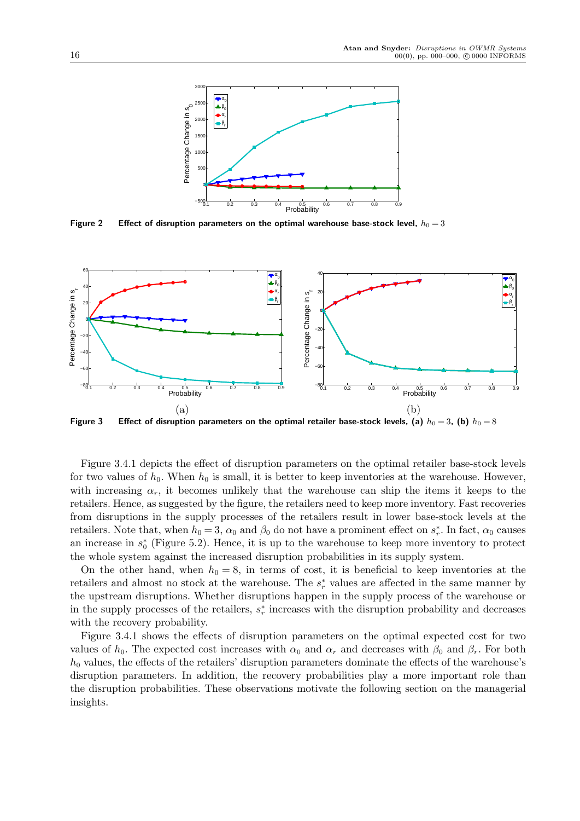

Figure 2 Effect of disruption parameters on the optimal warehouse base-stock level,  $h_0 = 3$ 



Figure 3 Effect of disruption parameters on the optimal retailer base-stock levels, (a)  $h_0 = 3$ , (b)  $h_0 = 8$ 

Figure 3.4.1 depicts the effect of disruption parameters on the optimal retailer base-stock levels for two values of  $h_0$ . When  $h_0$  is small, it is better to keep inventories at the warehouse. However, with increasing  $\alpha_r$ , it becomes unlikely that the warehouse can ship the items it keeps to the retailers. Hence, as suggested by the figure, the retailers need to keep more inventory. Fast recoveries from disruptions in the supply processes of the retailers result in lower base-stock levels at the retailers. Note that, when  $h_0 = 3$ ,  $\alpha_0$  and  $\beta_0$  do not have a prominent effect on  $s_r^*$ . In fact,  $\alpha_0$  causes an increase in  $s_0^*$  (Figure 5.2). Hence, it is up to the warehouse to keep more inventory to protect the whole system against the increased disruption probabilities in its supply system.

On the other hand, when  $h_0 = 8$ , in terms of cost, it is beneficial to keep inventories at the retailers and almost no stock at the warehouse. The  $s_r^*$  values are affected in the same manner by the upstream disruptions. Whether disruptions happen in the supply process of the warehouse or in the supply processes of the retailers,  $s_r^*$  increases with the disruption probability and decreases with the recovery probability.

Figure 3.4.1 shows the effects of disruption parameters on the optimal expected cost for two values of  $h_0$ . The expected cost increases with  $\alpha_0$  and  $\alpha_r$  and decreases with  $\beta_0$  and  $\beta_r$ . For both  $h_0$  values, the effects of the retailers' disruption parameters dominate the effects of the warehouse's disruption parameters. In addition, the recovery probabilities play a more important role than the disruption probabilities. These observations motivate the following section on the managerial insights.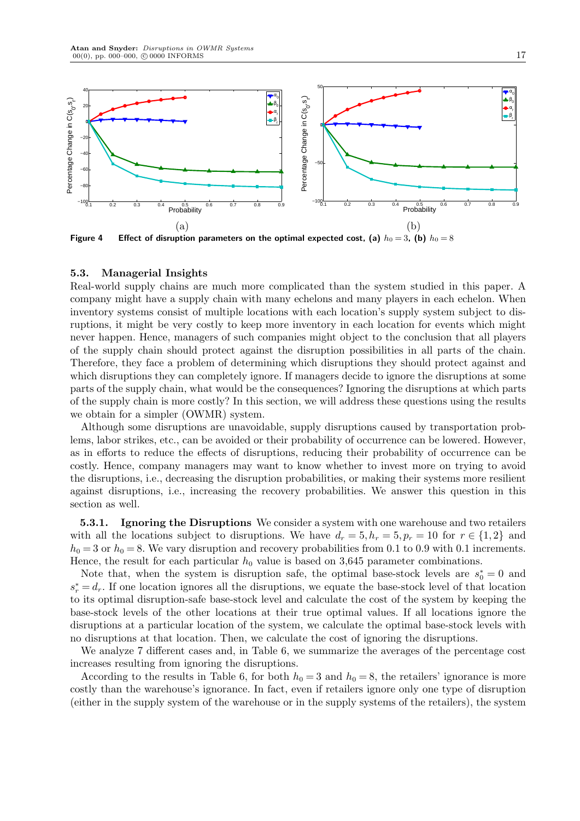

Figure 4 Effect of disruption parameters on the optimal expected cost, (a)  $h_0 = 3$ , (b)  $h_0 = 8$ 

# 5.3. Managerial Insights

Real-world supply chains are much more complicated than the system studied in this paper. A company might have a supply chain with many echelons and many players in each echelon. When inventory systems consist of multiple locations with each location's supply system subject to disruptions, it might be very costly to keep more inventory in each location for events which might never happen. Hence, managers of such companies might object to the conclusion that all players of the supply chain should protect against the disruption possibilities in all parts of the chain. Therefore, they face a problem of determining which disruptions they should protect against and which disruptions they can completely ignore. If managers decide to ignore the disruptions at some parts of the supply chain, what would be the consequences? Ignoring the disruptions at which parts of the supply chain is more costly? In this section, we will address these questions using the results we obtain for a simpler (OWMR) system.

Although some disruptions are unavoidable, supply disruptions caused by transportation problems, labor strikes, etc., can be avoided or their probability of occurrence can be lowered. However, as in efforts to reduce the effects of disruptions, reducing their probability of occurrence can be costly. Hence, company managers may want to know whether to invest more on trying to avoid the disruptions, i.e., decreasing the disruption probabilities, or making their systems more resilient against disruptions, i.e., increasing the recovery probabilities. We answer this question in this section as well.

5.3.1. Ignoring the Disruptions We consider a system with one warehouse and two retailers with all the locations subject to disruptions. We have  $d_r = 5, h_r = 5, p_r = 10$  for  $r \in \{1,2\}$  and  $h_0 = 3$  or  $h_0 = 8$ . We vary disruption and recovery probabilities from 0.1 to 0.9 with 0.1 increments. Hence, the result for each particular  $h_0$  value is based on 3,645 parameter combinations.

Note that, when the system is disruption safe, the optimal base-stock levels are  $s_0^* = 0$  and  $s_r^* = d_r$ . If one location ignores all the disruptions, we equate the base-stock level of that location to its optimal disruption-safe base-stock level and calculate the cost of the system by keeping the base-stock levels of the other locations at their true optimal values. If all locations ignore the disruptions at a particular location of the system, we calculate the optimal base-stock levels with no disruptions at that location. Then, we calculate the cost of ignoring the disruptions.

We analyze 7 different cases and, in Table 6, we summarize the averages of the percentage cost increases resulting from ignoring the disruptions.

According to the results in Table 6, for both  $h_0 = 3$  and  $h_0 = 8$ , the retailers' ignorance is more costly than the warehouse's ignorance. In fact, even if retailers ignore only one type of disruption (either in the supply system of the warehouse or in the supply systems of the retailers), the system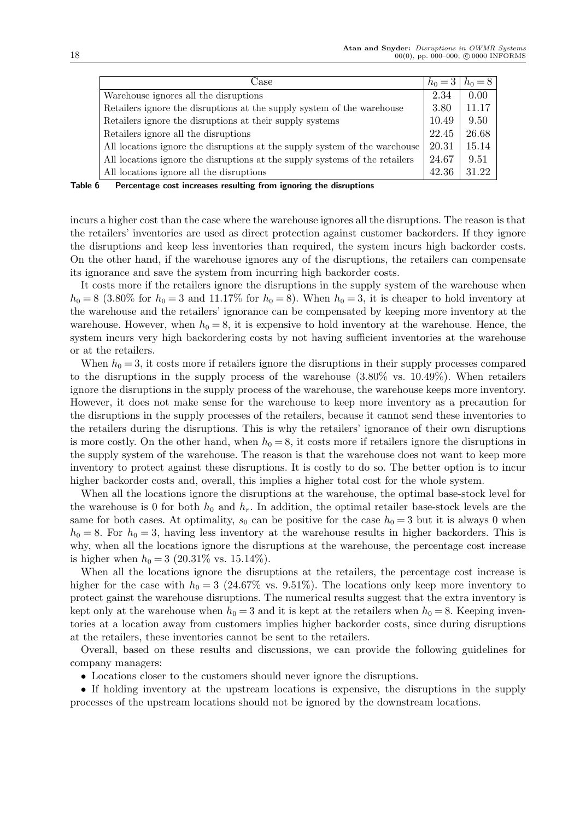| Case                                                                        |  | $h_0 = 3   h_0 = 8$ |
|-----------------------------------------------------------------------------|--|---------------------|
| Warehouse ignores all the disruptions                                       |  | 0.00                |
| Retailers ignore the disruptions at the supply system of the warehouse      |  | 11.17               |
| Retailers ignore the disruptions at their supply systems                    |  | 9.50                |
| Retailers ignore all the disruptions                                        |  | 26.68               |
| All locations ignore the disruptions at the supply system of the warehouse  |  | 15.14               |
| All locations ignore the disruptions at the supply systems of the retailers |  | 9.51                |
| All locations ignore all the disruptions                                    |  | 31.22               |

Table 6 Percentage cost increases resulting from ignoring the disruptions

incurs a higher cost than the case where the warehouse ignores all the disruptions. The reason is that the retailers' inventories are used as direct protection against customer backorders. If they ignore the disruptions and keep less inventories than required, the system incurs high backorder costs. On the other hand, if the warehouse ignores any of the disruptions, the retailers can compensate its ignorance and save the system from incurring high backorder costs.

It costs more if the retailers ignore the disruptions in the supply system of the warehouse when  $h_0 = 8$  (3.80% for  $h_0 = 3$  and 11.17% for  $h_0 = 8$ ). When  $h_0 = 3$ , it is cheaper to hold inventory at the warehouse and the retailers' ignorance can be compensated by keeping more inventory at the warehouse. However, when  $h_0 = 8$ , it is expensive to hold inventory at the warehouse. Hence, the system incurs very high backordering costs by not having sufficient inventories at the warehouse or at the retailers.

When  $h_0 = 3$ , it costs more if retailers ignore the disruptions in their supply processes compared to the disruptions in the supply process of the warehouse (3.80% vs. 10.49%). When retailers ignore the disruptions in the supply process of the warehouse, the warehouse keeps more inventory. However, it does not make sense for the warehouse to keep more inventory as a precaution for the disruptions in the supply processes of the retailers, because it cannot send these inventories to the retailers during the disruptions. This is why the retailers' ignorance of their own disruptions is more costly. On the other hand, when  $h_0 = 8$ , it costs more if retailers ignore the disruptions in the supply system of the warehouse. The reason is that the warehouse does not want to keep more inventory to protect against these disruptions. It is costly to do so. The better option is to incur higher backorder costs and, overall, this implies a higher total cost for the whole system.

When all the locations ignore the disruptions at the warehouse, the optimal base-stock level for the warehouse is 0 for both  $h_0$  and  $h_r$ . In addition, the optimal retailer base-stock levels are the same for both cases. At optimality,  $s_0$  can be positive for the case  $h_0 = 3$  but it is always 0 when  $h_0 = 8$ . For  $h_0 = 3$ , having less inventory at the warehouse results in higher backorders. This is why, when all the locations ignore the disruptions at the warehouse, the percentage cost increase is higher when  $h_0 = 3$  (20.31% vs. 15.14%).

When all the locations ignore the disruptions at the retailers, the percentage cost increase is higher for the case with  $h_0 = 3$  (24.67% vs. 9.51%). The locations only keep more inventory to protect gainst the warehouse disruptions. The numerical results suggest that the extra inventory is kept only at the warehouse when  $h_0 = 3$  and it is kept at the retailers when  $h_0 = 8$ . Keeping inventories at a location away from customers implies higher backorder costs, since during disruptions at the retailers, these inventories cannot be sent to the retailers.

Overall, based on these results and discussions, we can provide the following guidelines for company managers:

• Locations closer to the customers should never ignore the disruptions.

• If holding inventory at the upstream locations is expensive, the disruptions in the supply processes of the upstream locations should not be ignored by the downstream locations.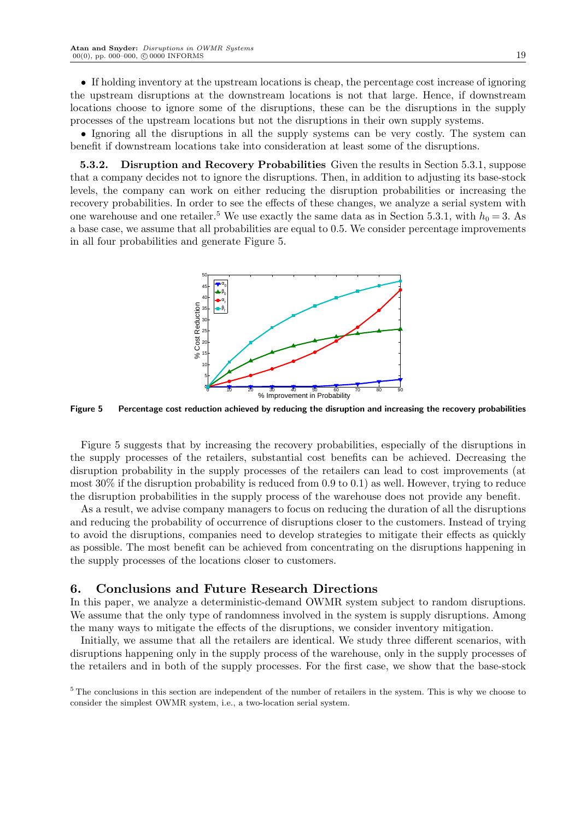• If holding inventory at the upstream locations is cheap, the percentage cost increase of ignoring the upstream disruptions at the downstream locations is not that large. Hence, if downstream locations choose to ignore some of the disruptions, these can be the disruptions in the supply processes of the upstream locations but not the disruptions in their own supply systems.

• Ignoring all the disruptions in all the supply systems can be very costly. The system can benefit if downstream locations take into consideration at least some of the disruptions.

5.3.2. Disruption and Recovery Probabilities Given the results in Section 5.3.1, suppose that a company decides not to ignore the disruptions. Then, in addition to adjusting its base-stock levels, the company can work on either reducing the disruption probabilities or increasing the recovery probabilities. In order to see the effects of these changes, we analyze a serial system with one warehouse and one retailer.<sup>5</sup> We use exactly the same data as in Section 5.3.1, with  $h_0 = 3$ . As a base case, we assume that all probabilities are equal to 0.5. We consider percentage improvements in all four probabilities and generate Figure 5.



Figure 5 Percentage cost reduction achieved by reducing the disruption and increasing the recovery probabilities

Figure 5 suggests that by increasing the recovery probabilities, especially of the disruptions in the supply processes of the retailers, substantial cost benefits can be achieved. Decreasing the disruption probability in the supply processes of the retailers can lead to cost improvements (at most 30% if the disruption probability is reduced from 0.9 to 0.1) as well. However, trying to reduce the disruption probabilities in the supply process of the warehouse does not provide any benefit.

As a result, we advise company managers to focus on reducing the duration of all the disruptions and reducing the probability of occurrence of disruptions closer to the customers. Instead of trying to avoid the disruptions, companies need to develop strategies to mitigate their effects as quickly as possible. The most benefit can be achieved from concentrating on the disruptions happening in the supply processes of the locations closer to customers.

# 6. Conclusions and Future Research Directions

In this paper, we analyze a deterministic-demand OWMR system subject to random disruptions. We assume that the only type of randomness involved in the system is supply disruptions. Among the many ways to mitigate the effects of the disruptions, we consider inventory mitigation.

Initially, we assume that all the retailers are identical. We study three different scenarios, with disruptions happening only in the supply process of the warehouse, only in the supply processes of the retailers and in both of the supply processes. For the first case, we show that the base-stock

<sup>&</sup>lt;sup>5</sup> The conclusions in this section are independent of the number of retailers in the system. This is why we choose to consider the simplest OWMR system, i.e., a two-location serial system.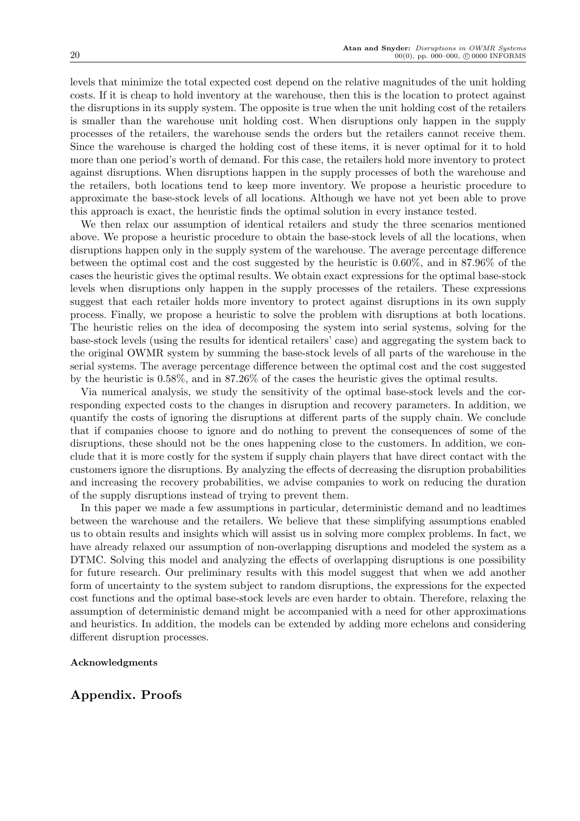levels that minimize the total expected cost depend on the relative magnitudes of the unit holding costs. If it is cheap to hold inventory at the warehouse, then this is the location to protect against the disruptions in its supply system. The opposite is true when the unit holding cost of the retailers is smaller than the warehouse unit holding cost. When disruptions only happen in the supply processes of the retailers, the warehouse sends the orders but the retailers cannot receive them. Since the warehouse is charged the holding cost of these items, it is never optimal for it to hold more than one period's worth of demand. For this case, the retailers hold more inventory to protect against disruptions. When disruptions happen in the supply processes of both the warehouse and the retailers, both locations tend to keep more inventory. We propose a heuristic procedure to approximate the base-stock levels of all locations. Although we have not yet been able to prove this approach is exact, the heuristic finds the optimal solution in every instance tested.

We then relax our assumption of identical retailers and study the three scenarios mentioned above. We propose a heuristic procedure to obtain the base-stock levels of all the locations, when disruptions happen only in the supply system of the warehouse. The average percentage difference between the optimal cost and the cost suggested by the heuristic is 0.60%, and in 87.96% of the cases the heuristic gives the optimal results. We obtain exact expressions for the optimal base-stock levels when disruptions only happen in the supply processes of the retailers. These expressions suggest that each retailer holds more inventory to protect against disruptions in its own supply process. Finally, we propose a heuristic to solve the problem with disruptions at both locations. The heuristic relies on the idea of decomposing the system into serial systems, solving for the base-stock levels (using the results for identical retailers' case) and aggregating the system back to the original OWMR system by summing the base-stock levels of all parts of the warehouse in the serial systems. The average percentage difference between the optimal cost and the cost suggested by the heuristic is 0.58%, and in 87.26% of the cases the heuristic gives the optimal results.

Via numerical analysis, we study the sensitivity of the optimal base-stock levels and the corresponding expected costs to the changes in disruption and recovery parameters. In addition, we quantify the costs of ignoring the disruptions at different parts of the supply chain. We conclude that if companies choose to ignore and do nothing to prevent the consequences of some of the disruptions, these should not be the ones happening close to the customers. In addition, we conclude that it is more costly for the system if supply chain players that have direct contact with the customers ignore the disruptions. By analyzing the effects of decreasing the disruption probabilities and increasing the recovery probabilities, we advise companies to work on reducing the duration of the supply disruptions instead of trying to prevent them.

In this paper we made a few assumptions in particular, deterministic demand and no leadtimes between the warehouse and the retailers. We believe that these simplifying assumptions enabled us to obtain results and insights which will assist us in solving more complex problems. In fact, we have already relaxed our assumption of non-overlapping disruptions and modeled the system as a DTMC. Solving this model and analyzing the effects of overlapping disruptions is one possibility for future research. Our preliminary results with this model suggest that when we add another form of uncertainty to the system subject to random disruptions, the expressions for the expected cost functions and the optimal base-stock levels are even harder to obtain. Therefore, relaxing the assumption of deterministic demand might be accompanied with a need for other approximations and heuristics. In addition, the models can be extended by adding more echelons and considering different disruption processes.

#### Acknowledgments

# Appendix. Proofs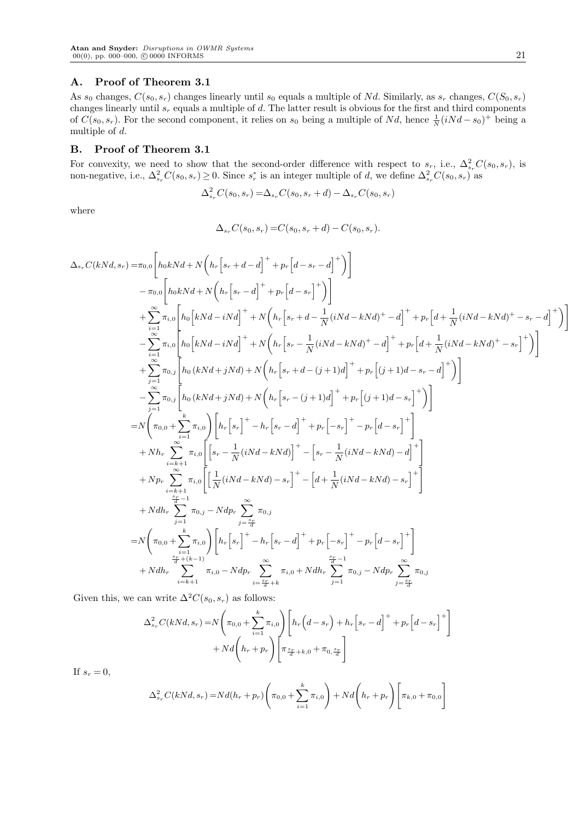## A. Proof of Theorem 3.1

As  $s_0$  changes,  $C(s_0, s_r)$  changes linearly until  $s_0$  equals a multiple of Nd. Similarly, as  $s_r$  changes,  $C(S_0, s_r)$ changes linearly until  $s_r$  equals a multiple of d. The latter result is obvious for the first and third components of  $C(s_0, s_r)$ . For the second component, it relies on  $s_0$  being a multiple of Nd, hence  $\frac{1}{N}(iNd - s_0)^+$  being a multiple of d.

# B. Proof of Theorem 3.1

For convexity, we need to show that the second-order difference with respect to  $s_r$ , i.e.,  $\Delta_{s_r}^2 C(s_0, s_r)$ , is non-negative, i.e.,  $\Delta_{s_r}^2 C(s_0, s_r) \geq 0$ . Since  $s_r^*$  is an integer multiple of d, we define  $\Delta_{s_r}^2 C(s_0, s_r)$  as

$$
\Delta_{s_r}^2 C(s_0, s_r) = \Delta_{s_r} C(s_0, s_r + d) - \Delta_{s_r} C(s_0, s_r)
$$

where

$$
\Delta_{s_r} C(s_0, s_r) = C(s_0, s_r + d) - C(s_0, s_r).
$$

$$
\begin{split} \Delta_{s_{r}}C(kNd,s_{r})=&\pi_{0,0}\left[h_{0}kNd+N\left(h_{r}\left[s_{r}+d-d\right]^{+}+p_{r}\left[d-s_{r}-d\right]^{+}\right)\right]\\ &-\pi_{0,0}\left[h_{0}kNd+N\left(h_{r}\left[s_{r}-d\right]^{+}+p_{r}\left[d-s_{r}\right]^{+}\right)\right]\\ &+\sum_{i=1}^{\infty}\pi_{i,0}\left[h_{0}\left[kNd-iNd\right]^{+}+N\left(h_{r}\left[s_{r}+d-\frac{1}{N}(iNd-kNd)^{+}-d\right]^{+}+p_{r}\left[d+\frac{1}{N}(iNd-kNd)^{+}-s_{r}-d\right]^{+}\right)\right]\\ &-\sum_{i=1}^{\infty}\pi_{i,0}\left[h_{0}\left[kNd-iNd\right]^{+}+N\left(h_{r}\left[s_{r}-\frac{1}{N}(iNd-kNd)^{+}-d\right]^{+}+p_{r}\left[d+\frac{1}{N}(iNd-kNd)^{+}-s_{r}\right]^{+}\right)\right]\\ &+\sum_{j=1}^{\infty}\pi_{0,j}\left[h_{0}\left(kNd+jNd\right)+N\left(h_{r}\left[s_{r}+d-(j+1)d\right]^{+}+p_{r}\left[(j+1)d-s_{r}-d\right]^{+}\right)\right]\\ &-\sum_{j=1}^{\infty}\pi_{0,j}\left[h_{0}\left(kNd+jNd\right)+N\left(h_{r}\left[s_{r}-(j+1)d\right]^{+}+p_{r}\left[(j+1)d-s_{r}\right]^{+}\right)\right]\\ =&N\left(\pi_{0,0}+\sum_{i=1}^{k}\pi_{i,0}\right)\left[h_{r}\left[s_{r}\right]^{+}-h_{r}\left[s_{r}-d\right]^{+}+p_{r}\left[-s_{r}\right]^{+}-p_{r}\left[d-s_{r}\right]^{+}\right]\\ &+Nh_{r}\sum_{i=k+1}^{\infty}\pi_{i,0}\left[\left[s_{r}-\frac{1}{N}(iNd-kNd)\right]^{+}-\left[s_{r}-\frac{1}{N}(iNd-kNd)-s_{r}\right]^{+}\right]\\ &+Ndh_{r}\sum_{j=1}^{\infty}\pi_{i,0}\left[\left[\frac{1}{N}(iNd-kNd)-s_{r}\right]^{+}-\left[d+\frac{1}{N}(iNd-kNd)-s_{r}\right]^{+}\right]\\ &+Ndh_{r}\sum_{j
$$

Given this, we can write  $\Delta^2 C(s_0, s_r)$  as follows:

$$
\Delta_{s_r}^2 C(kNd, s_r) = N\left(\pi_{0,0} + \sum_{i=1}^k \pi_{i,0}\right) \left[h_r\left(d - s_r\right) + h_r\left[s_r - d\right]^+ + p_r\left[d - s_r\right]^+\right] + N d\left(h_r + p_r\right) \left[\pi \frac{s_r}{d} + k, 0 + \pi_{0, \frac{s_r}{d}}\right]
$$

If  $s_r = 0$ ,

$$
\Delta_{s_r}^2 C(kNd, s_r) = Nd(h_r + p_r) \left(\pi_{0,0} + \sum_{i=1}^k \pi_{i,0}\right) + Nd\left(h_r + p_r\right) \left[\pi_{k,0} + \pi_{0,0}\right]
$$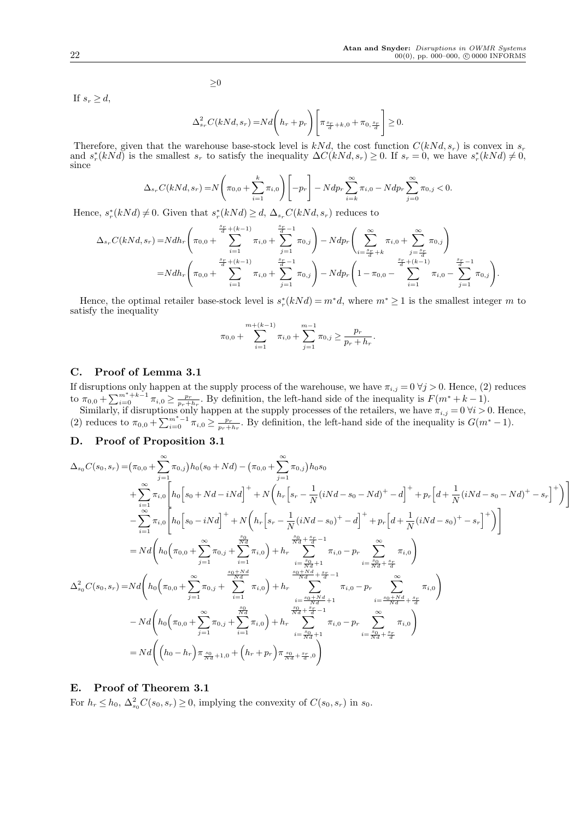≥0

If  $s_r \geq d$ ,

$$
\Delta_{s_r}^2 C(kNd, s_r) = Nd\left(h_r + p_r\right)\left[\pi_{\frac{s_r}{d} + k, 0} + \pi_{0, \frac{s_r}{d}}\right] \ge 0.
$$

Therefore, given that the warehouse base-stock level is  $kNd$ , the cost function  $C(kNd, s_r)$  is convex in  $s_r$ and  $s_r^*(kNd)$  is the smallest  $s_r$  to satisfy the inequality  $\Delta C(kNd, s_r) \geq 0$ . If  $s_r = 0$ , we have  $s_r^*(kNd) \neq 0$ , since

$$
\Delta_{s_r} C(kNd, s_r) = N\left(\pi_{0,0} + \sum_{i=1}^k \pi_{i,0}\right) \left[-p_r\right] - Ndp_r \sum_{i=k}^\infty \pi_{i,0} - Ndp_r \sum_{j=0}^\infty \pi_{0,j} < 0.
$$

Hence,  $s_r^*(kNd) \neq 0$ . Given that  $s_r^*(kNd) \geq d$ ,  $\Delta_{s_r} C(kNd, s_r)$  reduces to

$$
\Delta_{s_r} C(kNd, s_r) = Ndh_r \left( \pi_{0,0} + \sum_{i=1}^{\frac{s_r}{d} + (k-1)} \pi_{i,0} + \sum_{j=1}^{\frac{s_r}{d} - 1} \pi_{0,j} \right) - Ndp_r \left( \sum_{i=\frac{s_r}{d} + k}^{\infty} \pi_{i,0} + \sum_{j=\frac{s_r}{d}}^{\infty} \pi_{0,j} \right)
$$
  
=  $Ndh_r \left( \pi_{0,0} + \sum_{i=1}^{\frac{s_r}{d} + (k-1)} \pi_{i,0} + \sum_{j=1}^{\frac{s_r}{d} - 1} \pi_{0,j} \right) - Ndp_r \left( 1 - \pi_{0,0} - \sum_{i=1}^{\frac{s_r}{d} + (k-1)} \pi_{i,0} - \sum_{j=1}^{\frac{s_r}{d} - 1} \pi_{0,j} \right).$ 

Hence, the optimal retailer base-stock level is  $s_r^*(kNd) = m^*d$ , where  $m^* \geq 1$  is the smallest integer m to satisfy the inequality

$$
\pi_{0,0} + \sum_{i=1}^{m+(k-1)} \pi_{i,0} + \sum_{j=1}^{m-1} \pi_{0,j} \ge \frac{p_r}{p_r + h_r}.
$$

## C. Proof of Lemma 3.1

If disruptions only happen at the supply process of the warehouse, we have  $\pi_{i,j} = 0 \ \forall j > 0$ . Hence, (2) reduces to  $\pi_{0,0} + \sum_{i=0}^{m^*+k-1} \pi_{i,0} \ge \frac{p_r}{p_r + h_r}$ . By definition, the left-hand side of the inequality is  $F(m^*+k-1)$ . Similarly, if disruptions only happen at the supply processes of the retailers, we have  $\pi_{i,j} = 0 \forall i > 0$ . Hence,

(2) reduces to  $\pi_{0,0} + \sum_{i=0}^{m^*-1} \pi_{i,0} \ge \frac{p_r}{p_r + h_r}$ . By definition, the left-hand side of the inequality is  $G(m^*-1)$ .

# D. Proof of Proposition 3.1

$$
\Delta_{s_{0}}C(s_{0},s_{r}) = (\pi_{0,0} + \sum_{j=1}^{\infty} \pi_{0,j})h_{0}(s_{0} + Nd) - (\pi_{0,0} + \sum_{j=1}^{\infty} \pi_{0,j})h_{0}s_{0}
$$
\n
$$
+ \sum_{i=1}^{\infty} \pi_{i,0} \left[ h_{0}\left[s_{0} + Nd - iNd\right]^{+} + N\left(h_{r}\left[s_{r} - \frac{1}{N}(iNd - s_{0} - Nd)^{+} - d\right]^{+} + p_{r}\left[d + \frac{1}{N}(iNd - s_{0} - Nd)^{+} - s_{r}\right]^{+}\right) \right]
$$
\n
$$
- \sum_{i=1}^{\infty} \pi_{i,0} \left[ h_{0}\left[s_{0} - iNd\right]^{+} + N\left(h_{r}\left[s_{r} - \frac{1}{N}(iNd - s_{0})^{+} - d\right]^{+} + p_{r}\left[d + \frac{1}{N}(iNd - s_{0})^{+} - s_{r}\right]^{+}\right) \right]
$$
\n
$$
= N d\left(h_{0}\left(\pi_{0,0} + \sum_{j=1}^{\infty} \pi_{0,j} + \sum_{i=1}^{\frac{s_{0}}{N_{d}} \pi_{i,0}}\right) + h_{r}\sum_{i=\frac{s_{0}}{N_{d}}+s_{r} - 1}^{\frac{s_{0}}{N_{d}}+s_{r} - 1} \pi_{i,0} - p_{r}\sum_{i=\frac{s_{0}}{N_{d}}+s_{r} - 1}^{\infty} \pi_{i,0} \right)
$$
\n
$$
\Delta_{s_{0}}^{2}C(s_{0},s_{r}) = N d\left(h_{0}\left(\pi_{0,0} + \sum_{j=1}^{\infty} \pi_{0,j} + \sum_{i=1}^{\frac{s_{0}}{N_{d}} \pi_{i,0}}\right) + h_{r}\sum_{i=\frac{s_{0}+Nd}{N_{d}}+s_{r} - 1}^{\frac{s_{0}+Nd}{N_{d}}+s_{r} - 1} \pi_{i,0} - p_{r}\sum_{i=\frac{s_{0}+Nd}{N_{d}}+s_{r} - 1}^{\infty} \pi_{i,0} \right)
$$
\n
$$
- N d\left(h_{0}\left(\pi_{0,0} + \sum_{j=1}
$$

# E. Proof of Theorem 3.1

For  $h_r \leq h_0$ ,  $\Delta_{s_0}^2 C(s_0, s_r) \geq 0$ , implying the convexity of  $C(s_0, s_r)$  in  $s_0$ .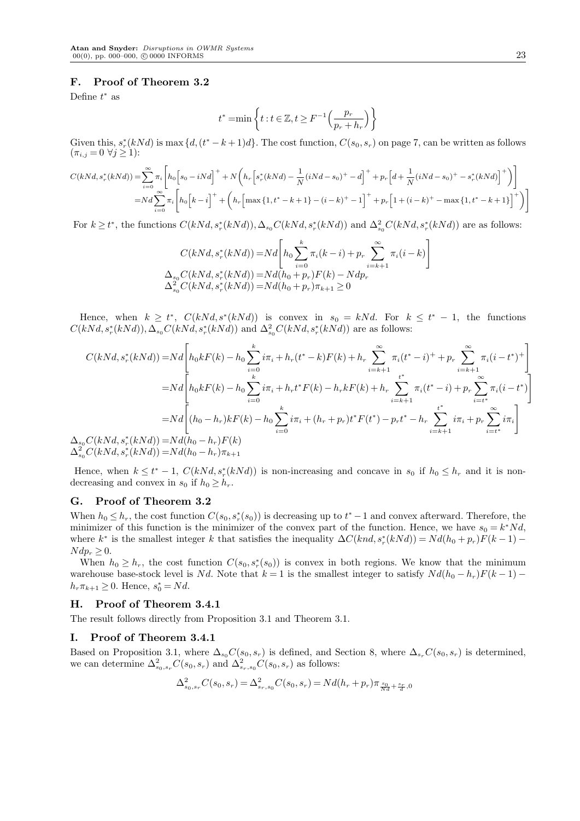#### F. Proof of Theorem 3.2

Define  $t^*$  as

$$
t^* = \min\left\{t : t \in \mathbb{Z}, t \ge F^{-1}\left(\frac{p_r}{p_r + h_r}\right)\right\}
$$

Given this,  $s_r^*(kNd)$  is max  $\{d,(t^*-k+1)d\}$ . The cost function,  $C(s_0, s_r)$  on page 7, can be written as follows  $(\pi_{i,j} = 0 \; \forall j \geq 1)$ :

$$
C(kNd, s_r^*(kNd)) = \sum_{i=0}^{\infty} \pi_i \left[ h_0 \left[ s_0 - iNd \right]^+ + N \left( h_r \left[ s_r^*(kNd) - \frac{1}{N} (iNd - s_0)^+ - d \right]^+ + p_r \left[ d + \frac{1}{N} (iNd - s_0)^+ - s_r^*(kNd) \right]^+ \right) \right]
$$
  
=  $Nd \sum_{i=0}^{\infty} \pi_i \left[ h_0 \left[ k - i \right]^+ + \left( h_r \left[ \max \{1, t^* - k + 1\} - (i - k)^+ - 1 \right]^+ + p_r \left[ 1 + (i - k)^+ - \max \{1, t^* - k + 1\} \right]^+ \right) \right]$ 

For  $k \ge t^*$ , the functions  $C(kNd, s_r^*(kNd))$ ,  $\Delta_{s_0}C(kNd, s_r^*(kNd))$  and  $\Delta_{s_0}^2C(kNd, s_r^*(kNd))$  are as follows:

$$
C(kNd, s_r^*(kNd)) = Nd \left[ h_0 \sum_{i=0}^k \pi_i(k-i) + p_r \sum_{i=k+1}^{\infty} \pi_i(i-k) \right]
$$
  

$$
\Delta_{s_0} C(kNd, s_r^*(kNd)) = Nd(h_0 + p_r)F(k) - Ndp_r
$$
  

$$
\Delta_{s_0}^2 C(kNd, s_r^*(kNd)) = Nd(h_0 + p_r)\pi_{k+1} \ge 0
$$

Hence, when  $k \geq t^*$ ,  $C(kNd, s^*(kNd))$  is convex in  $s_0 = kNd$ . For  $k \leq t^* - 1$ , the functions  $C(kNd, s_r^*(kNd)), \Delta_{s_0}C(kNd, s_r^*(kNd))$  and  $\Delta_{s_0}^2C(kNd, s_r^*(kNd))$  are as follows:

$$
C(kNd, s_r^*(kNd)) = Nd \left[ h_0kF(k) - h_0 \sum_{i=0}^k i\pi_i + h_r(t^* - k)F(k) + h_r \sum_{i=k+1}^\infty \pi_i(t^* - i)^+ + p_r \sum_{i=k+1}^\infty \pi_i(i - t^*)^+ \right]
$$
  
\n
$$
= Nd \left[ h_0kF(k) - h_0 \sum_{i=0}^k i\pi_i + h_r t^*F(k) - h_r kF(k) + h_r \sum_{i=k+1}^t \pi_i(t^* - i) + p_r \sum_{i=t^*}^\infty \pi_i(i - t^*) \right]
$$
  
\n
$$
= Nd \left[ (h_0 - h_r)kF(k) - h_0 \sum_{i=0}^k i\pi_i + (h_r + p_r)t^*F(t^*) - p_r t^* - h_r \sum_{i=k+1}^{t^*} i\pi_i + p_r \sum_{i=t^*}^\infty i\pi_i \right]
$$
  
\n
$$
\Delta_{s_0} C(kNd, s_r^*(kNd)) = Nd(h_0 - h_r)F(k)
$$
  
\n
$$
\Delta_{s_0}^2 C(kNd, s_r^*(kNd)) = Nd(h_0 - h_r)\pi_{k+1}
$$

Hence, when  $k \leq t^* - 1$ ,  $C(kNd, s_r^*(kNd))$  is non-increasing and concave in  $s_0$  if  $h_0 \leq h_r$  and it is nondecreasing and convex in  $s_0$  if  $h_0 \geq h_r$ .

#### G. Proof of Theorem 3.2

When  $h_0 \leq h_r$ , the cost function  $C(s_0, s_r^*(s_0))$  is decreasing up to  $t^* - 1$  and convex afterward. Therefore, the minimizer of this function is the minimizer of the convex part of the function. Hence, we have  $s_0 = k^*Nd$ , where k<sup>\*</sup> is the smallest integer k that satisfies the inequality  $\Delta C(knd, s_r^*(kNd)) = Nd(h_0 + p_r)F(k-1) N dp_r \geq 0.$ 

When  $h_0 \geq h_r$ , the cost function  $C(s_0, s_r^*(s_0))$  is convex in both regions. We know that the minimum warehouse base-stock level is Nd. Note that  $k = 1$  is the smallest integer to satisfy  $Nd(h_0 - h_r)F(k-1)$  $h_r \pi_{k+1} \geq 0$ . Hence,  $s_0^* = Nd$ .

#### H. Proof of Theorem 3.4.1

The result follows directly from Proposition 3.1 and Theorem 3.1.

## I. Proof of Theorem 3.4.1

Based on Proposition 3.1, where  $\Delta_{s_0}C(s_0, s_r)$  is defined, and Section 8, where  $\Delta_{s_r}C(s_0, s_r)$  is determined, we can determine  $\Delta^2_{s_0,s_r}C(s_0,s_r)$  and  $\Delta^2_{s_r,s_0}C(s_0,s_r)$  as follows:

$$
\Delta_{s_0,s_r}^2 C(s_0,s_r) = \Delta_{s_r,s_0}^2 C(s_0,s_r) = N d(h_r + p_r) \pi_{\frac{s_0}{Nd} + \frac{s_r}{d},0}
$$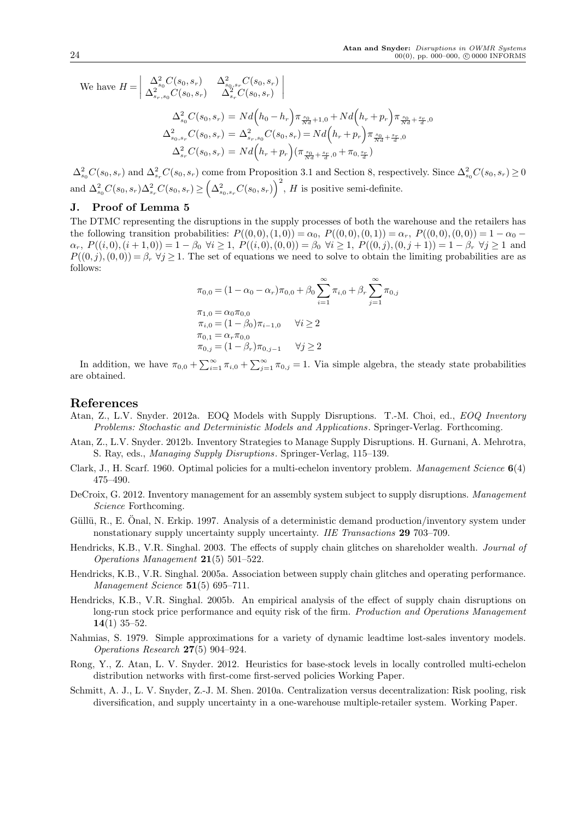We have 
$$
H = \begin{vmatrix} \Delta_{s_0}^2 C(s_0, s_r) & \Delta_{s_0, s_r}^2 C(s_0, s_r) \\ \Delta_{s_r, s_0}^2 C(s_0, s_r) & \Delta_{s_r}^2 C(s_0, s_r) \end{vmatrix}
$$

$$
\Delta_{s_0}^2 C(s_0, s_r) = N d \left( h_0 - h_r \right) \pi_{\frac{s_0}{Nd} + 1, 0} + N d \left( h_r + p_r \right) \pi_{\frac{s_0}{Nd} + \frac{s_r}{d}, 0}
$$

$$
\Delta_{s_0, s_r}^2 C(s_0, s_r) = \Delta_{s_r, s_0}^2 C(s_0, s_r) = N d \left( h_r + p_r \right) \pi_{\frac{s_0}{Nd} + \frac{s_r}{d}, 0}
$$

$$
\Delta_{s_r}^2 C(s_0, s_r) = N d \left( h_r + p_r \right) (\pi_{\frac{s_0}{Nd} + \frac{s_r}{d}, 0} + \pi_{0, \frac{s_r}{d}})
$$

 $\Delta_{s_0}^2 C(s_0, s_r)$  and  $\Delta_{s_r}^2 C(s_0, s_r)$  come from Proposition 3.1 and Section 8, respectively. Since  $\Delta_{s_0}^2 C(s_0, s_r) \ge 0$ and  $\Delta_{s_0}^2 C(s_0, s_r) \Delta_{s_r}^2 C(s_0, s_r) \geq (\Delta_{s_0, s_r}^2 C(s_0, s_r))$ <sup>2</sup>, *H* is positive semi-definite.

# J. Proof of Lemma 5

The DTMC representing the disruptions in the supply processes of both the warehouse and the retailers has the following transition probabilities:  $P((0,0), (1,0)) = \alpha_0$ ,  $P((0,0), (0,1)) = \alpha_r$ ,  $P((0,0), (0,0)) = 1 - \alpha_0$  $\alpha_r$ ,  $P((i,0),(i+1,0)) = 1 - \beta_0 \ \forall i \geq 1$ ,  $P((i,0),(0,0)) = \beta_0 \ \forall i \geq 1$ ,  $P((0,j),(0,j+1)) = 1 - \beta_r \ \forall j \geq 1$  and  $P((0, j), (0, 0)) = \beta_r \forall j \ge 1$ . The set of equations we need to solve to obtain the limiting probabilities are as follows:

$$
\pi_{0,0} = (1 - \alpha_0 - \alpha_r)\pi_{0,0} + \beta_0 \sum_{i=1}^{\infty} \pi_{i,0} + \beta_r \sum_{j=1}^{\infty} \pi_{0,j}
$$
  
\n
$$
\pi_{1,0} = \alpha_0 \pi_{0,0}
$$
  
\n
$$
\pi_{i,0} = (1 - \beta_0)\pi_{i-1,0} \quad \forall i \ge 2
$$
  
\n
$$
\pi_{0,1} = \alpha_r \pi_{0,0}
$$
  
\n
$$
\pi_{0,j} = (1 - \beta_r)\pi_{0,j-1} \quad \forall j \ge 2
$$

In addition, we have  $\pi_{0,0} + \sum_{i=1}^{\infty} \pi_{i,0} + \sum_{j=1}^{\infty} \pi_{0,j} = 1$ . Via simple algebra, the steady state probabilities are obtained.

## References

- Atan, Z., L.V. Snyder. 2012a. EOQ Models with Supply Disruptions. T.-M. Choi, ed., EOQ Inventory Problems: Stochastic and Deterministic Models and Applications. Springer-Verlag. Forthcoming.
- Atan, Z., L.V. Snyder. 2012b. Inventory Strategies to Manage Supply Disruptions. H. Gurnani, A. Mehrotra, S. Ray, eds., Managing Supply Disruptions. Springer-Verlag, 115–139.
- Clark, J., H. Scarf. 1960. Optimal policies for a multi-echelon inventory problem. Management Science 6(4) 475–490.
- DeCroix, G. 2012. Inventory management for an assembly system subject to supply disruptions. Management Science Forthcoming.
- Güllü, R., E. Önal, N. Erkip. 1997. Analysis of a deterministic demand production/inventory system under nonstationary supply uncertainty supply uncertainty. IIE Transactions 29 703–709.
- Hendricks, K.B., V.R. Singhal. 2003. The effects of supply chain glitches on shareholder wealth. Journal of Operations Management 21(5) 501–522.
- Hendricks, K.B., V.R. Singhal. 2005a. Association between supply chain glitches and operating performance. Management Science 51(5) 695–711.
- Hendricks, K.B., V.R. Singhal. 2005b. An empirical analysis of the effect of supply chain disruptions on long-run stock price performance and equity risk of the firm. Production and Operations Management  $14(1)$  35-52.
- Nahmias, S. 1979. Simple approximations for a variety of dynamic leadtime lost-sales inventory models. Operations Research 27(5) 904–924.
- Rong, Y., Z. Atan, L. V. Snyder. 2012. Heuristics for base-stock levels in locally controlled multi-echelon distribution networks with first-come first-served policies Working Paper.
- Schmitt, A. J., L. V. Snyder, Z.-J. M. Shen. 2010a. Centralization versus decentralization: Risk pooling, risk diversification, and supply uncertainty in a one-warehouse multiple-retailer system. Working Paper.